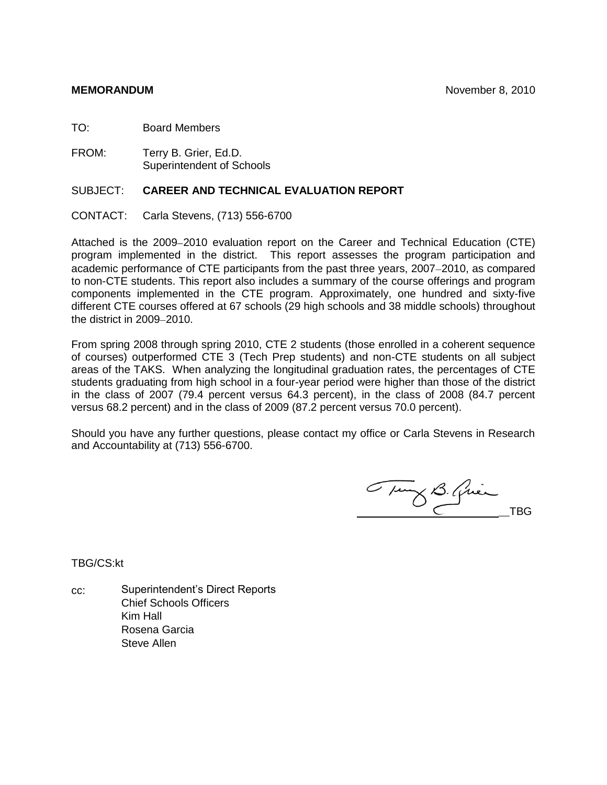TO: Board Members

FROM: Terry B. Grier, Ed.D. Superintendent of Schools

# SUBJECT: **CAREER AND TECHNICAL EVALUATION REPORT**

CONTACT: Carla Stevens, (713) 556-6700

Attached is the 2009–2010 evaluation report on the Career and Technical Education (CTE) program implemented in the district. This report assesses the program participation and academic performance of CTE participants from the past three years, 2007–2010, as compared to non-CTE students. This report also includes a summary of the course offerings and program components implemented in the CTE program. Approximately, one hundred and sixty-five different CTE courses offered at 67 schools (29 high schools and 38 middle schools) throughout the district in 2009-2010.

From spring 2008 through spring 2010, CTE 2 students (those enrolled in a coherent sequence of courses) outperformed CTE 3 (Tech Prep students) and non-CTE students on all subject areas of the TAKS. When analyzing the longitudinal graduation rates, the percentages of CTE students graduating from high school in a four-year period were higher than those of the district in the class of 2007 (79.4 percent versus 64.3 percent), in the class of 2008 (84.7 percent versus 68.2 percent) and in the class of 2009 (87.2 percent versus 70.0 percent).

Should you have any further questions, please contact my office or Carla Stevens in Research and Accountability at (713) 556-6700.

Tung B. Quin

TBG/CS:kt

cc: Superintendent's Direct Reports Chief Schools Officers Kim Hall Rosena Garcia Steve Allen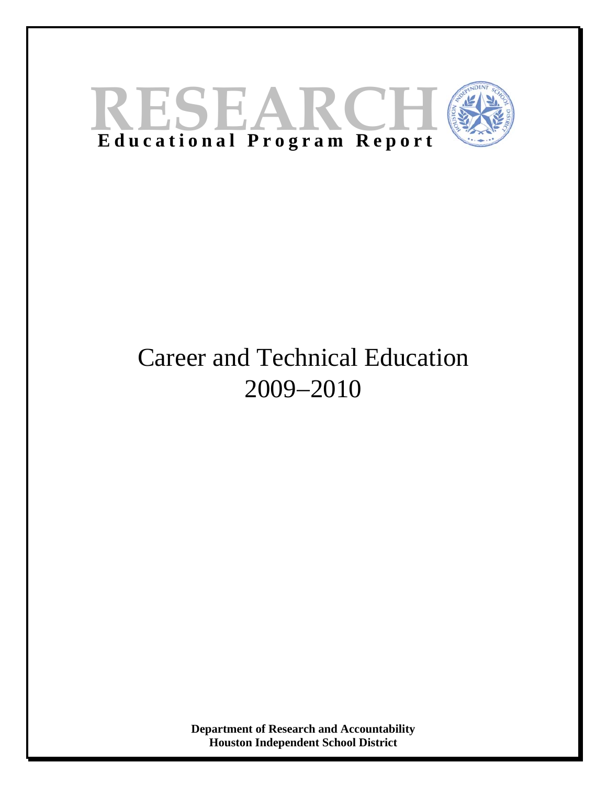

# Career and Technical Education 2009−2010

**Department of Research and Accountability Houston Independent School District**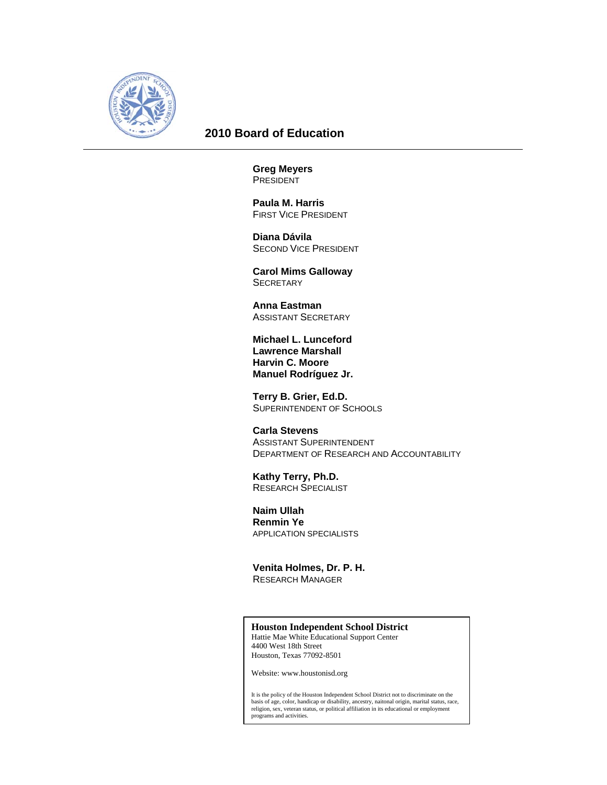

# **2010 Board of Education**

**Greg Meyers PRESIDENT** 

 **Paula M. Harris**  FIRST VICE PRESIDENT

 **Diana Dávila**  SECOND VICE PRESIDENT

 **Carol Mims Galloway SECRETARY** 

 **Anna Eastman**  ASSISTANT SECRETARY

**Michael L. Lunceford Lawrence Marshall Harvin C. Moore Manuel Rodríguez Jr.** 

 **Terry B. Grier, Ed.D.**  SUPERINTENDENT OF SCHOOLS

 **Carla Stevens**  ASSISTANT SUPERINTENDENT DEPARTMENT OF RESEARCH AND ACCOUNTABILITY

 **Kathy Terry, Ph.D.**  RESEARCH SPECIALIST

 **Naim Ullah Renmin Ye**  APPLICATION SPECIALISTS

 **Venita Holmes, Dr. P. H.**  RESEARCH MANAGER

# **Houston Independent School District**

Hattie Mae White Educational Support Center 4400 West 18th Street Houston, Texas 77092-8501

Website: www.houstonisd.org

It is the policy of the Houston Independent School District not to discriminate on the<br>basis of age, color, handicap or disability, ancestry, naitonal origin, marital status, race,<br>religion, sex, veteran status, or politic programs and activities.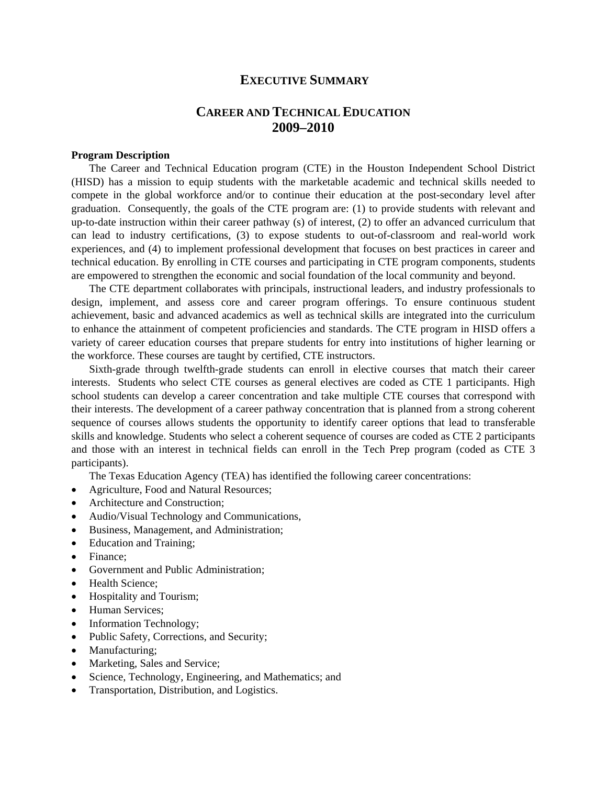# **EXECUTIVE SUMMARY**

# **CAREER AND TECHNICAL EDUCATION 2009–2010**

# **Program Description**

The Career and Technical Education program (CTE) in the Houston Independent School District (HISD) has a mission to equip students with the marketable academic and technical skills needed to compete in the global workforce and/or to continue their education at the post-secondary level after graduation. Consequently, the goals of the CTE program are: (1) to provide students with relevant and up-to-date instruction within their career pathway (s) of interest, (2) to offer an advanced curriculum that can lead to industry certifications, (3) to expose students to out-of-classroom and real-world work experiences, and (4) to implement professional development that focuses on best practices in career and technical education. By enrolling in CTE courses and participating in CTE program components, students are empowered to strengthen the economic and social foundation of the local community and beyond.

The CTE department collaborates with principals, instructional leaders, and industry professionals to design, implement, and assess core and career program offerings. To ensure continuous student achievement, basic and advanced academics as well as technical skills are integrated into the curriculum to enhance the attainment of competent proficiencies and standards. The CTE program in HISD offers a variety of career education courses that prepare students for entry into institutions of higher learning or the workforce. These courses are taught by certified, CTE instructors.

Sixth-grade through twelfth-grade students can enroll in elective courses that match their career interests. Students who select CTE courses as general electives are coded as CTE 1 participants. High school students can develop a career concentration and take multiple CTE courses that correspond with their interests. The development of a career pathway concentration that is planned from a strong coherent sequence of courses allows students the opportunity to identify career options that lead to transferable skills and knowledge. Students who select a coherent sequence of courses are coded as CTE 2 participants and those with an interest in technical fields can enroll in the Tech Prep program (coded as CTE 3 participants).

The Texas Education Agency (TEA) has identified the following career concentrations:

- Agriculture, Food and Natural Resources;
- Architecture and Construction;
- Audio/Visual Technology and Communications,
- Business, Management, and Administration;
- Education and Training;
- Finance:
- Government and Public Administration;
- Health Science;
- Hospitality and Tourism;
- Human Services;
- Information Technology;
- Public Safety, Corrections, and Security;
- Manufacturing;
- Marketing, Sales and Service;
- Science, Technology, Engineering, and Mathematics; and
- Transportation, Distribution, and Logistics.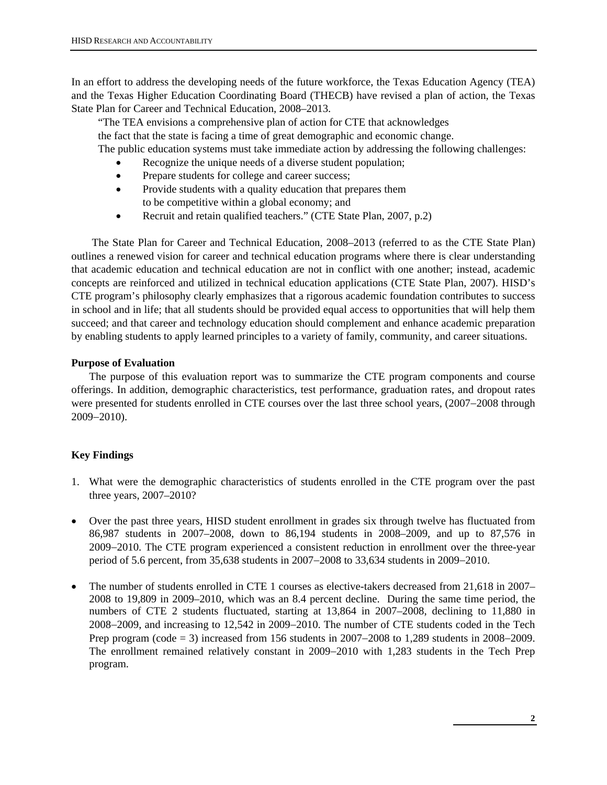In an effort to address the developing needs of the future workforce, the Texas Education Agency (TEA) and the Texas Higher Education Coordinating Board (THECB) have revised a plan of action, the Texas State Plan for Career and Technical Education, 2008–2013.

 "The TEA envisions a comprehensive plan of action for CTE that acknowledges the fact that the state is facing a time of great demographic and economic change. The public education systems must take immediate action by addressing the following challenges:

- Recognize the unique needs of a diverse student population;
- Prepare students for college and career success;
- Provide students with a quality education that prepares them to be competitive within a global economy; and
- Recruit and retain qualified teachers." (CTE State Plan, 2007, p.2)

 The State Plan for Career and Technical Education, 2008–2013 (referred to as the CTE State Plan) outlines a renewed vision for career and technical education programs where there is clear understanding that academic education and technical education are not in conflict with one another; instead, academic concepts are reinforced and utilized in technical education applications (CTE State Plan, 2007). HISD's CTE program's philosophy clearly emphasizes that a rigorous academic foundation contributes to success in school and in life; that all students should be provided equal access to opportunities that will help them succeed; and that career and technology education should complement and enhance academic preparation by enabling students to apply learned principles to a variety of family, community, and career situations.

### **Purpose of Evaluation**

The purpose of this evaluation report was to summarize the CTE program components and course offerings. In addition, demographic characteristics, test performance, graduation rates, and dropout rates were presented for students enrolled in CTE courses over the last three school years, (2007−2008 through 2009−2010).

# **Key Findings**

- 1. What were the demographic characteristics of students enrolled in the CTE program over the past three years, 2007–2010?
- Over the past three years, HISD student enrollment in grades six through twelve has fluctuated from 86,987 students in 2007–2008, down to 86,194 students in 2008–2009, and up to 87,576 in 2009−2010. The CTE program experienced a consistent reduction in enrollment over the three-year period of 5.6 percent, from 35,638 students in 2007−2008 to 33,634 students in 2009−2010.
- The number of students enrolled in CTE 1 courses as elective-takers decreased from 21,618 in 2007– 2008 to 19,809 in 2009–2010, which was an 8.4 percent decline. During the same time period, the numbers of CTE 2 students fluctuated, starting at 13,864 in 2007–2008, declining to 11,880 in 2008−2009, and increasing to 12,542 in 2009−2010. The number of CTE students coded in the Tech Prep program (code = 3) increased from 156 students in 2007−2008 to 1,289 students in 2008−2009. The enrollment remained relatively constant in 2009−2010 with 1,283 students in the Tech Prep program.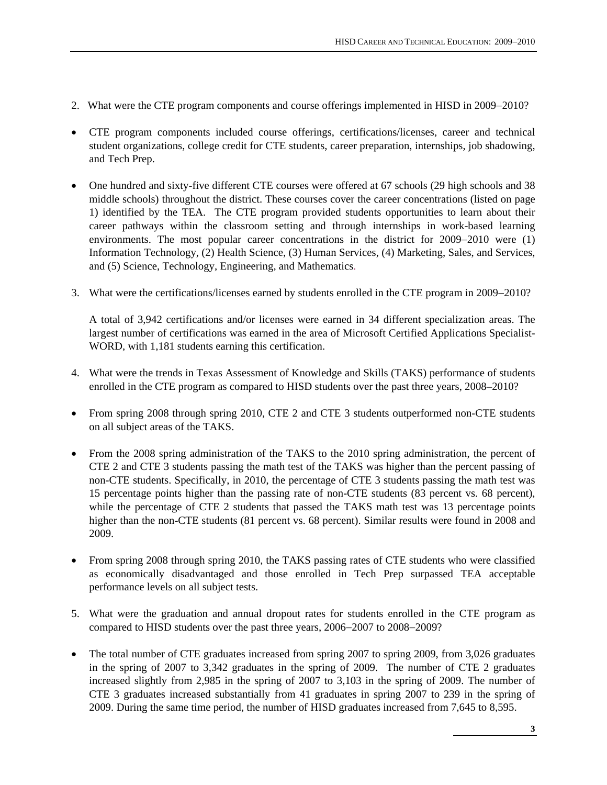- 2. What were the CTE program components and course offerings implemented in HISD in 2009−2010?
- CTE program components included course offerings, certifications/licenses, career and technical student organizations, college credit for CTE students, career preparation, internships, job shadowing, and Tech Prep.
- One hundred and sixty-five different CTE courses were offered at 67 schools (29 high schools and 38 middle schools) throughout the district. These courses cover the career concentrations (listed on page 1) identified by the TEA. The CTE program provided students opportunities to learn about their career pathways within the classroom setting and through internships in work-based learning environments. The most popular career concentrations in the district for 2009−2010 were (1) Information Technology, (2) Health Science, (3) Human Services, (4) Marketing, Sales, and Services, and (5) Science, Technology, Engineering, and Mathematics.
- 3. What were the certifications/licenses earned by students enrolled in the CTE program in 2009−2010?

A total of 3,942 certifications and/or licenses were earned in 34 different specialization areas. The largest number of certifications was earned in the area of Microsoft Certified Applications Specialist-WORD, with 1,181 students earning this certification.

- 4. What were the trends in Texas Assessment of Knowledge and Skills (TAKS) performance of students enrolled in the CTE program as compared to HISD students over the past three years, 2008–2010?
- From spring 2008 through spring 2010, CTE 2 and CTE 3 students outperformed non-CTE students on all subject areas of the TAKS.
- From the 2008 spring administration of the TAKS to the 2010 spring administration, the percent of CTE 2 and CTE 3 students passing the math test of the TAKS was higher than the percent passing of non-CTE students. Specifically, in 2010, the percentage of CTE 3 students passing the math test was 15 percentage points higher than the passing rate of non-CTE students (83 percent vs. 68 percent), while the percentage of CTE 2 students that passed the TAKS math test was 13 percentage points higher than the non-CTE students (81 percent vs. 68 percent). Similar results were found in 2008 and 2009.
- From spring 2008 through spring 2010, the TAKS passing rates of CTE students who were classified as economically disadvantaged and those enrolled in Tech Prep surpassed TEA acceptable performance levels on all subject tests.
- 5. What were the graduation and annual dropout rates for students enrolled in the CTE program as compared to HISD students over the past three years, 2006−2007 to 2008−2009?
- The total number of CTE graduates increased from spring 2007 to spring 2009, from 3,026 graduates in the spring of 2007 to 3,342 graduates in the spring of 2009. The number of CTE 2 graduates increased slightly from 2,985 in the spring of 2007 to 3,103 in the spring of 2009. The number of CTE 3 graduates increased substantially from 41 graduates in spring 2007 to 239 in the spring of 2009. During the same time period, the number of HISD graduates increased from 7,645 to 8,595.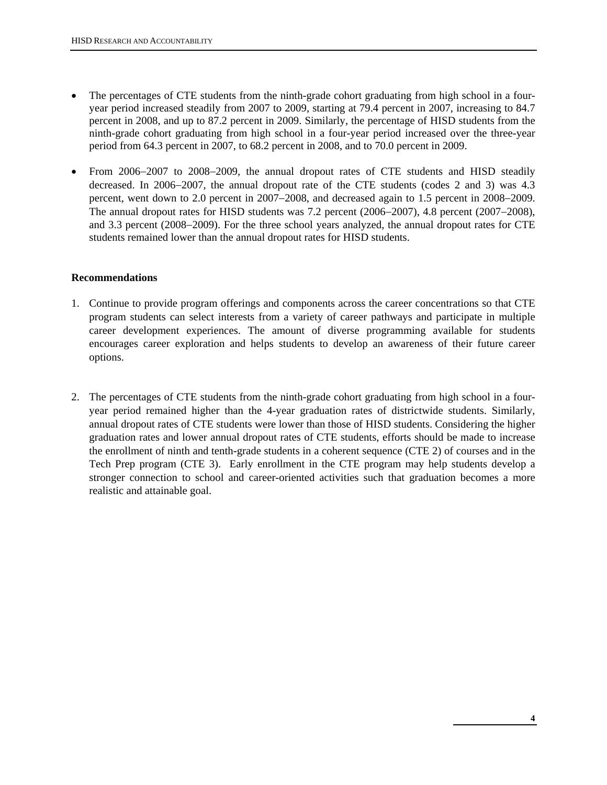- The percentages of CTE students from the ninth-grade cohort graduating from high school in a fouryear period increased steadily from 2007 to 2009, starting at 79.4 percent in 2007, increasing to 84.7 percent in 2008, and up to 87.2 percent in 2009. Similarly, the percentage of HISD students from the ninth-grade cohort graduating from high school in a four-year period increased over the three-year period from 64.3 percent in 2007, to 68.2 percent in 2008, and to 70.0 percent in 2009.
- From 2006−2007 to 2008−2009, the annual dropout rates of CTE students and HISD steadily decreased. In 2006−2007, the annual dropout rate of the CTE students (codes 2 and 3) was 4.3 percent, went down to 2.0 percent in 2007−2008, and decreased again to 1.5 percent in 2008−2009. The annual dropout rates for HISD students was 7.2 percent (2006−2007), 4.8 percent (2007−2008), and 3.3 percent (2008−2009). For the three school years analyzed, the annual dropout rates for CTE students remained lower than the annual dropout rates for HISD students.

# **Recommendations**

- 1. Continue to provide program offerings and components across the career concentrations so that CTE program students can select interests from a variety of career pathways and participate in multiple career development experiences. The amount of diverse programming available for students encourages career exploration and helps students to develop an awareness of their future career options.
- 2. The percentages of CTE students from the ninth-grade cohort graduating from high school in a fouryear period remained higher than the 4-year graduation rates of districtwide students. Similarly, annual dropout rates of CTE students were lower than those of HISD students. Considering the higher graduation rates and lower annual dropout rates of CTE students, efforts should be made to increase the enrollment of ninth and tenth-grade students in a coherent sequence (CTE 2) of courses and in the Tech Prep program (CTE 3). Early enrollment in the CTE program may help students develop a stronger connection to school and career-oriented activities such that graduation becomes a more realistic and attainable goal.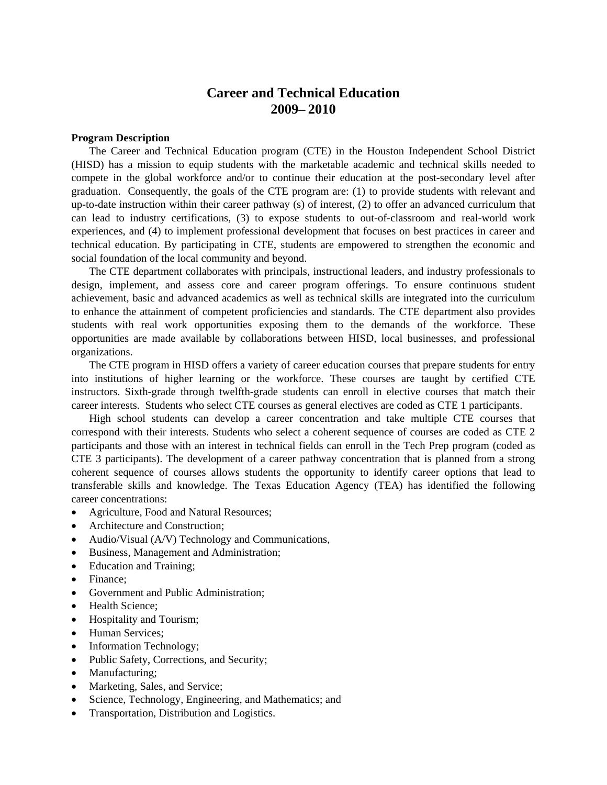# **Career and Technical Education 2009– 2010**

#### **Program Description**

The Career and Technical Education program (CTE) in the Houston Independent School District (HISD) has a mission to equip students with the marketable academic and technical skills needed to compete in the global workforce and/or to continue their education at the post-secondary level after graduation. Consequently, the goals of the CTE program are: (1) to provide students with relevant and up-to-date instruction within their career pathway (s) of interest, (2) to offer an advanced curriculum that can lead to industry certifications, (3) to expose students to out-of-classroom and real-world work experiences, and (4) to implement professional development that focuses on best practices in career and technical education. By participating in CTE, students are empowered to strengthen the economic and social foundation of the local community and beyond.

The CTE department collaborates with principals, instructional leaders, and industry professionals to design, implement, and assess core and career program offerings. To ensure continuous student achievement, basic and advanced academics as well as technical skills are integrated into the curriculum to enhance the attainment of competent proficiencies and standards. The CTE department also provides students with real work opportunities exposing them to the demands of the workforce. These opportunities are made available by collaborations between HISD, local businesses, and professional organizations.

The CTE program in HISD offers a variety of career education courses that prepare students for entry into institutions of higher learning or the workforce. These courses are taught by certified CTE instructors. Sixth-grade through twelfth-grade students can enroll in elective courses that match their career interests. Students who select CTE courses as general electives are coded as CTE 1 participants.

High school students can develop a career concentration and take multiple CTE courses that correspond with their interests. Students who select a coherent sequence of courses are coded as CTE 2 participants and those with an interest in technical fields can enroll in the Tech Prep program (coded as CTE 3 participants). The development of a career pathway concentration that is planned from a strong coherent sequence of courses allows students the opportunity to identify career options that lead to transferable skills and knowledge. The Texas Education Agency (TEA) has identified the following career concentrations:

- Agriculture, Food and Natural Resources;
- Architecture and Construction;
- Audio/Visual (A/V) Technology and Communications,
- Business, Management and Administration;
- Education and Training;
- Finance:
- Government and Public Administration;
- Health Science;
- Hospitality and Tourism;
- Human Services;
- Information Technology;
- Public Safety, Corrections, and Security;
- Manufacturing;
- Marketing, Sales, and Service;
- Science, Technology, Engineering, and Mathematics; and
- Transportation, Distribution and Logistics.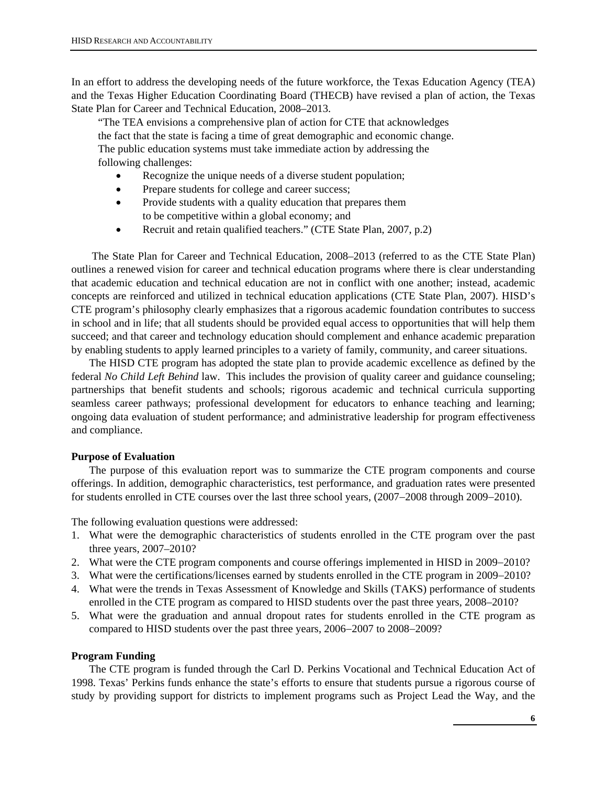In an effort to address the developing needs of the future workforce, the Texas Education Agency (TEA) and the Texas Higher Education Coordinating Board (THECB) have revised a plan of action, the Texas State Plan for Career and Technical Education, 2008–2013.

 "The TEA envisions a comprehensive plan of action for CTE that acknowledges the fact that the state is facing a time of great demographic and economic change. The public education systems must take immediate action by addressing the following challenges:

- Recognize the unique needs of a diverse student population;
- Prepare students for college and career success;
- Provide students with a quality education that prepares them to be competitive within a global economy; and
- Recruit and retain qualified teachers." (CTE State Plan, 2007, p.2)

 The State Plan for Career and Technical Education, 2008–2013 (referred to as the CTE State Plan) outlines a renewed vision for career and technical education programs where there is clear understanding that academic education and technical education are not in conflict with one another; instead, academic concepts are reinforced and utilized in technical education applications (CTE State Plan, 2007). HISD's CTE program's philosophy clearly emphasizes that a rigorous academic foundation contributes to success in school and in life; that all students should be provided equal access to opportunities that will help them succeed; and that career and technology education should complement and enhance academic preparation by enabling students to apply learned principles to a variety of family, community, and career situations.

The HISD CTE program has adopted the state plan to provide academic excellence as defined by the federal *No Child Left Behind* law. This includes the provision of quality career and guidance counseling; partnerships that benefit students and schools; rigorous academic and technical curricula supporting seamless career pathways; professional development for educators to enhance teaching and learning; ongoing data evaluation of student performance; and administrative leadership for program effectiveness and compliance.

#### **Purpose of Evaluation**

The purpose of this evaluation report was to summarize the CTE program components and course offerings. In addition, demographic characteristics, test performance, and graduation rates were presented for students enrolled in CTE courses over the last three school years, (2007−2008 through 2009−2010).

The following evaluation questions were addressed:

- 1. What were the demographic characteristics of students enrolled in the CTE program over the past three years, 2007–2010?
- 2. What were the CTE program components and course offerings implemented in HISD in 2009−2010?
- 3. What were the certifications/licenses earned by students enrolled in the CTE program in 2009−2010?
- 4. What were the trends in Texas Assessment of Knowledge and Skills (TAKS) performance of students enrolled in the CTE program as compared to HISD students over the past three years, 2008–2010?
- 5. What were the graduation and annual dropout rates for students enrolled in the CTE program as compared to HISD students over the past three years, 2006−2007 to 2008−2009?

#### **Program Funding**

The CTE program is funded through the Carl D. Perkins Vocational and Technical Education Act of 1998. Texas' Perkins funds enhance the state's efforts to ensure that students pursue a rigorous course of study by providing support for districts to implement programs such as Project Lead the Way, and the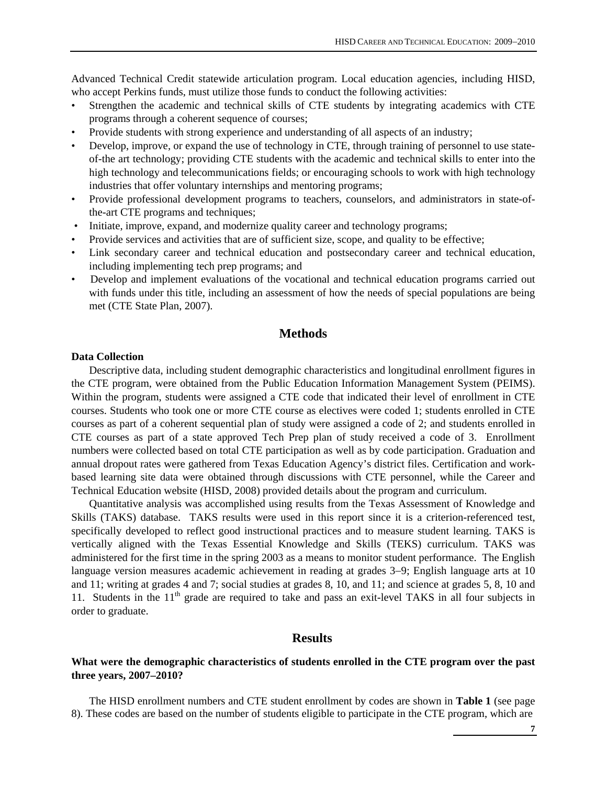Advanced Technical Credit statewide articulation program. Local education agencies, including HISD, who accept Perkins funds, must utilize those funds to conduct the following activities:

- Strengthen the academic and technical skills of CTE students by integrating academics with CTE programs through a coherent sequence of courses;
- Provide students with strong experience and understanding of all aspects of an industry;
- Develop, improve, or expand the use of technology in CTE, through training of personnel to use stateof-the art technology; providing CTE students with the academic and technical skills to enter into the high technology and telecommunications fields; or encouraging schools to work with high technology industries that offer voluntary internships and mentoring programs;
- Provide professional development programs to teachers, counselors, and administrators in state-ofthe-art CTE programs and techniques;
- Initiate, improve, expand, and modernize quality career and technology programs;
- Provide services and activities that are of sufficient size, scope, and quality to be effective;
- Link secondary career and technical education and postsecondary career and technical education, including implementing tech prep programs; and
- Develop and implement evaluations of the vocational and technical education programs carried out with funds under this title, including an assessment of how the needs of special populations are being met (CTE State Plan, 2007).

# **Methods**

#### **Data Collection**

Descriptive data, including student demographic characteristics and longitudinal enrollment figures in the CTE program, were obtained from the Public Education Information Management System (PEIMS). Within the program, students were assigned a CTE code that indicated their level of enrollment in CTE courses. Students who took one or more CTE course as electives were coded 1; students enrolled in CTE courses as part of a coherent sequential plan of study were assigned a code of 2; and students enrolled in CTE courses as part of a state approved Tech Prep plan of study received a code of 3. Enrollment numbers were collected based on total CTE participation as well as by code participation. Graduation and annual dropout rates were gathered from Texas Education Agency's district files. Certification and workbased learning site data were obtained through discussions with CTE personnel, while the Career and Technical Education website (HISD, 2008) provided details about the program and curriculum.

Quantitative analysis was accomplished using results from the Texas Assessment of Knowledge and Skills (TAKS) database. TAKS results were used in this report since it is a criterion-referenced test, specifically developed to reflect good instructional practices and to measure student learning. TAKS is vertically aligned with the Texas Essential Knowledge and Skills (TEKS) curriculum. TAKS was administered for the first time in the spring 2003 as a means to monitor student performance. The English language version measures academic achievement in reading at grades 3−9; English language arts at 10 and 11; writing at grades 4 and 7; social studies at grades 8, 10, and 11; and science at grades 5, 8, 10 and 11. Students in the 11<sup>th</sup> grade are required to take and pass an exit-level TAKS in all four subjects in order to graduate.

# **Results**

### **What were the demographic characteristics of students enrolled in the CTE program over the past three years, 2007–2010?**

The HISD enrollment numbers and CTE student enrollment by codes are shown in **Table 1** (see page 8). These codes are based on the number of students eligible to participate in the CTE program, which are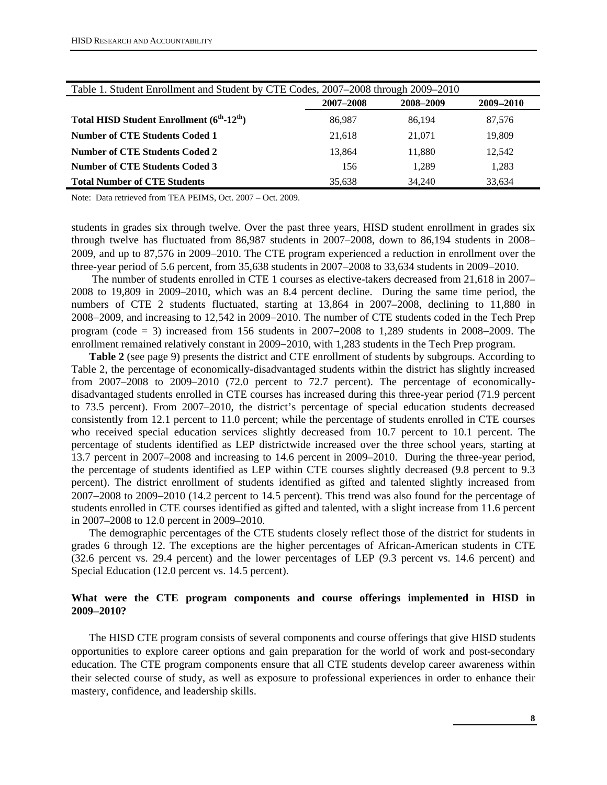| Table 1. Student Enrollment and Student by CTE Codes, 2007–2008 through 2009–2010 |           |           |        |
|-----------------------------------------------------------------------------------|-----------|-----------|--------|
|                                                                                   | 2007-2008 | 2009-2010 |        |
| Total HISD Student Enrollment (6 <sup>th</sup> -12 <sup>th</sup> )                | 86.987    | 86.194    | 87,576 |
| <b>Number of CTE Students Coded 1</b>                                             | 21.618    | 21,071    | 19,809 |
| Number of CTE Students Coded 2                                                    | 13.864    | 11.880    | 12,542 |
| <b>Number of CTE Students Coded 3</b>                                             | 156       | 1.289     | 1,283  |
| <b>Total Number of CTE Students</b>                                               | 35.638    | 34,240    | 33.634 |

Note: Data retrieved from TEA PEIMS, Oct. 2007 – Oct. 2009.

students in grades six through twelve. Over the past three years, HISD student enrollment in grades six through twelve has fluctuated from 86,987 students in 2007–2008, down to 86,194 students in 2008– 2009, and up to 87,576 in 2009−2010. The CTE program experienced a reduction in enrollment over the three-year period of 5.6 percent, from 35,638 students in 2007−2008 to 33,634 students in 2009−2010.

 The number of students enrolled in CTE 1 courses as elective-takers decreased from 21,618 in 2007– 2008 to 19,809 in 2009–2010, which was an 8.4 percent decline. During the same time period, the numbers of CTE 2 students fluctuated, starting at 13,864 in 2007–2008, declining to 11,880 in 2008−2009, and increasing to 12,542 in 2009−2010. The number of CTE students coded in the Tech Prep program (code = 3) increased from 156 students in 2007−2008 to 1,289 students in 2008−2009. The enrollment remained relatively constant in 2009−2010, with 1,283 students in the Tech Prep program.

**Table 2** (see page 9) presents the district and CTE enrollment of students by subgroups. According to Table 2, the percentage of economically-disadvantaged students within the district has slightly increased from 2007–2008 to 2009–2010 (72.0 percent to 72.7 percent). The percentage of economicallydisadvantaged students enrolled in CTE courses has increased during this three-year period (71.9 percent to 73.5 percent). From 2007–2010, the district's percentage of special education students decreased consistently from 12.1 percent to 11.0 percent; while the percentage of students enrolled in CTE courses who received special education services slightly decreased from 10.7 percent to 10.1 percent. The percentage of students identified as LEP districtwide increased over the three school years, starting at 13.7 percent in 2007–2008 and increasing to 14.6 percent in 2009–2010. During the three-year period, the percentage of students identified as LEP within CTE courses slightly decreased (9.8 percent to 9.3 percent). The district enrollment of students identified as gifted and talented slightly increased from 2007−2008 to 2009−2010 (14.2 percent to 14.5 percent). This trend was also found for the percentage of students enrolled in CTE courses identified as gifted and talented, with a slight increase from 11.6 percent in 2007–2008 to 12.0 percent in 2009–2010.

The demographic percentages of the CTE students closely reflect those of the district for students in grades 6 through 12. The exceptions are the higher percentages of African-American students in CTE (32.6 percent vs. 29.4 percent) and the lower percentages of LEP (9.3 percent vs. 14.6 percent) and Special Education (12.0 percent vs. 14.5 percent).

# **What were the CTE program components and course offerings implemented in HISD in 2009**−**2010?**

The HISD CTE program consists of several components and course offerings that give HISD students opportunities to explore career options and gain preparation for the world of work and post-secondary education. The CTE program components ensure that all CTE students develop career awareness within their selected course of study, as well as exposure to professional experiences in order to enhance their mastery, confidence, and leadership skills.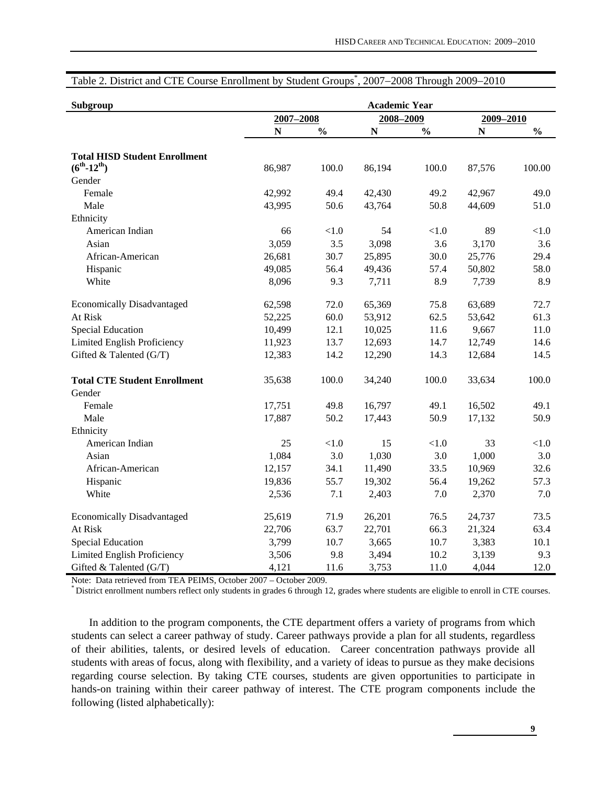| Subgroup                                                     |           |               | <b>Academic Year</b> |               |           |               |
|--------------------------------------------------------------|-----------|---------------|----------------------|---------------|-----------|---------------|
|                                                              | 2007-2008 |               | 2008-2009            |               | 2009-2010 |               |
|                                                              | ${\bf N}$ | $\frac{0}{0}$ | N                    | $\frac{0}{0}$ | ${\bf N}$ | $\frac{0}{0}$ |
| <b>Total HISD Student Enrollment</b><br>$(6^{th} - 12^{th})$ | 86,987    | 100.0         | 86,194               | 100.0         | 87,576    | 100.00        |
| Gender                                                       |           |               |                      |               |           |               |
| Female                                                       | 42,992    | 49.4          | 42,430               | 49.2          | 42,967    | 49.0          |
| Male                                                         | 43,995    | 50.6          | 43,764               | 50.8          | 44,609    | 51.0          |
| Ethnicity                                                    |           |               |                      |               |           |               |
| American Indian                                              | 66        | $<1.0$        | 54                   | $<1.0$        | 89        | $<1.0$        |
| Asian                                                        | 3,059     | 3.5           | 3,098                | 3.6           | 3,170     | 3.6           |
| African-American                                             | 26,681    | 30.7          | 25,895               | 30.0          | 25,776    | 29.4          |
| Hispanic                                                     | 49,085    | 56.4          | 49,436               | 57.4          | 50,802    | 58.0          |
| White                                                        | 8,096     | 9.3           | 7,711                | 8.9           | 7,739     | 8.9           |
| <b>Economically Disadvantaged</b>                            | 62,598    | 72.0          | 65,369               | 75.8          | 63,689    | 72.7          |
| At Risk                                                      | 52,225    | 60.0          | 53,912               | 62.5          | 53,642    | 61.3          |
| <b>Special Education</b>                                     | 10,499    | 12.1          | 10,025               | 11.6          | 9,667     | 11.0          |
| Limited English Proficiency                                  | 11,923    | 13.7          | 12,693               | 14.7          | 12,749    | 14.6          |
| Gifted & Talented (G/T)                                      | 12,383    | 14.2          | 12,290               | 14.3          | 12,684    | 14.5          |
| <b>Total CTE Student Enrollment</b>                          | 35,638    | 100.0         | 34,240               | 100.0         | 33,634    | 100.0         |
| Gender                                                       |           |               |                      |               |           |               |
| Female                                                       | 17,751    | 49.8          | 16,797               | 49.1          | 16,502    | 49.1          |
| Male                                                         | 17,887    | 50.2          | 17,443               | 50.9          | 17,132    | 50.9          |
| Ethnicity                                                    |           |               |                      |               |           |               |
| American Indian                                              | 25        | < 1.0         | 15                   | $<1.0$        | 33        | $<1.0$        |
| Asian                                                        | 1,084     | 3.0           | 1,030                | 3.0           | 1,000     | 3.0           |
| African-American                                             | 12,157    | 34.1          | 11,490               | 33.5          | 10,969    | 32.6          |
| Hispanic                                                     | 19,836    | 55.7          | 19,302               | 56.4          | 19,262    | 57.3          |
| White                                                        | 2,536     | 7.1           | 2,403                | 7.0           | 2,370     | 7.0           |
| <b>Economically Disadvantaged</b>                            | 25,619    | 71.9          | 26,201               | 76.5          | 24,737    | 73.5          |
| At Risk                                                      | 22,706    | 63.7          | 22,701               | 66.3          | 21,324    | 63.4          |
| <b>Special Education</b>                                     | 3,799     | 10.7          | 3,665                | 10.7          | 3,383     | 10.1          |
| Limited English Proficiency                                  | 3,506     | 9.8           | 3,494                | 10.2          | 3,139     | 9.3           |
| Gifted & Talented (G/T)                                      | 4,121     | 11.6          | 3,753                | 11.0          | 4,044     | 12.0          |

# Table 2. District and CTE Course Enrollment by Student Groups\* , 2007−2008 Through 2009−2010

Note: Data retrieved from TEA PEIMS, October 2007 – October 2009.<br>\* District enrollment numbers reflect only students in grades 6 through 12, grades where students are eligible to enroll in CTE courses.

In addition to the program components, the CTE department offers a variety of programs from which students can select a career pathway of study. Career pathways provide a plan for all students, regardless of their abilities, talents, or desired levels of education. Career concentration pathways provide all students with areas of focus, along with flexibility, and a variety of ideas to pursue as they make decisions regarding course selection. By taking CTE courses, students are given opportunities to participate in hands-on training within their career pathway of interest. The CTE program components include the following (listed alphabetically):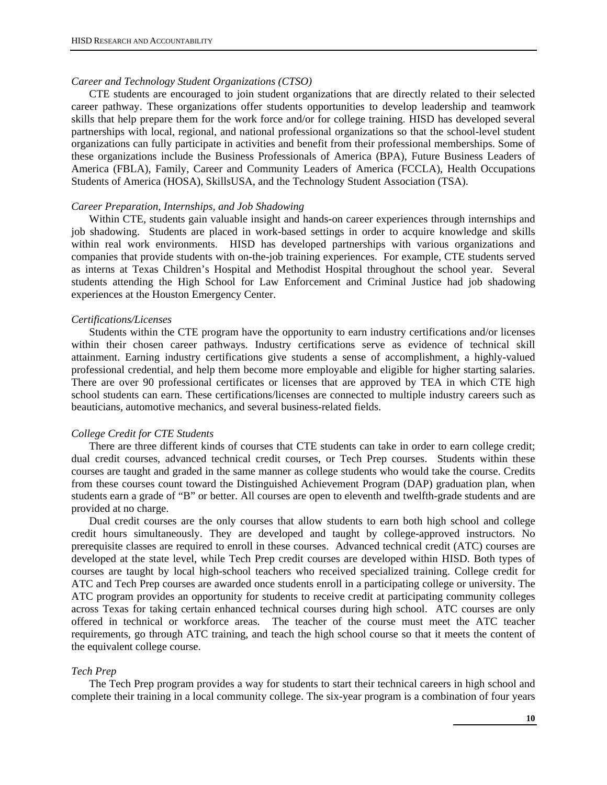#### *Career and Technology Student Organizations (CTSO)*

CTE students are encouraged to join student organizations that are directly related to their selected career pathway. These organizations offer students opportunities to develop leadership and teamwork skills that help prepare them for the work force and/or for college training. HISD has developed several partnerships with local, regional, and national professional organizations so that the school-level student organizations can fully participate in activities and benefit from their professional memberships. Some of these organizations include the Business Professionals of America (BPA), Future Business Leaders of America (FBLA), Family, Career and Community Leaders of America (FCCLA), Health Occupations Students of America (HOSA), SkillsUSA, and the Technology Student Association (TSA).

#### *Career Preparation, Internships, and Job Shadowing*

Within CTE, students gain valuable insight and hands-on career experiences through internships and job shadowing. Students are placed in work-based settings in order to acquire knowledge and skills within real work environments. HISD has developed partnerships with various organizations and companies that provide students with on-the-job training experiences. For example, CTE students served as interns at Texas Children's Hospital and Methodist Hospital throughout the school year. Several students attending the High School for Law Enforcement and Criminal Justice had job shadowing experiences at the Houston Emergency Center.

#### *Certifications/Licenses*

Students within the CTE program have the opportunity to earn industry certifications and/or licenses within their chosen career pathways. Industry certifications serve as evidence of technical skill attainment. Earning industry certifications give students a sense of accomplishment, a highly-valued professional credential, and help them become more employable and eligible for higher starting salaries. There are over 90 professional certificates or licenses that are approved by TEA in which CTE high school students can earn. These certifications/licenses are connected to multiple industry careers such as beauticians, automotive mechanics, and several business-related fields.

#### *College Credit for CTE Students*

There are three different kinds of courses that CTE students can take in order to earn college credit; dual credit courses, advanced technical credit courses, or Tech Prep courses. Students within these courses are taught and graded in the same manner as college students who would take the course. Credits from these courses count toward the Distinguished Achievement Program (DAP) graduation plan, when students earn a grade of "B" or better. All courses are open to eleventh and twelfth-grade students and are provided at no charge.

Dual credit courses are the only courses that allow students to earn both high school and college credit hours simultaneously. They are developed and taught by college-approved instructors. No prerequisite classes are required to enroll in these courses. Advanced technical credit (ATC) courses are developed at the state level, while Tech Prep credit courses are developed within HISD. Both types of courses are taught by local high-school teachers who received specialized training. College credit for ATC and Tech Prep courses are awarded once students enroll in a participating college or university. The ATC program provides an opportunity for students to receive credit at participating community colleges across Texas for taking certain enhanced technical courses during high school. ATC courses are only offered in technical or workforce areas. The teacher of the course must meet the ATC teacher requirements, go through ATC training, and teach the high school course so that it meets the content of the equivalent college course.

#### *Tech Prep*

The Tech Prep program provides a way for students to start their technical careers in high school and complete their training in a local community college. The six-year program is a combination of four years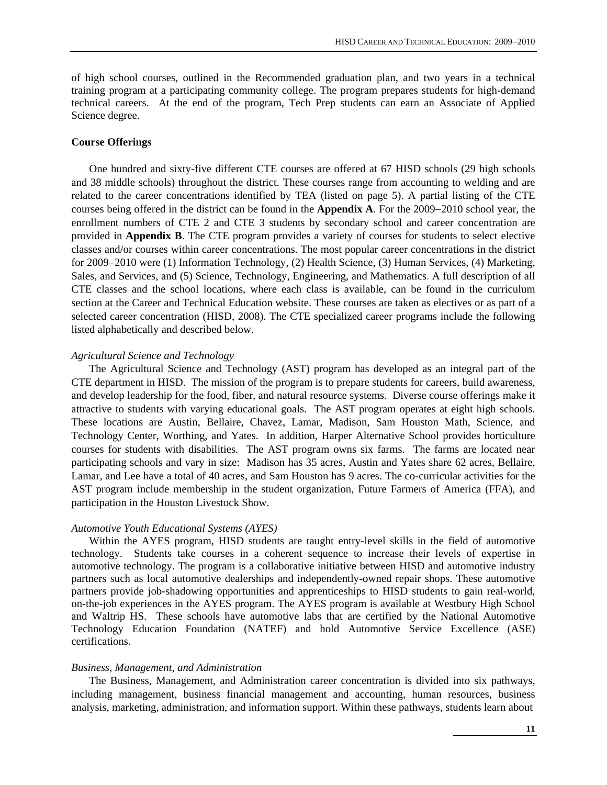of high school courses, outlined in the Recommended graduation plan, and two years in a technical training program at a participating community college. The program prepares students for high-demand technical careers. At the end of the program, Tech Prep students can earn an Associate of Applied Science degree.

#### **Course Offerings**

One hundred and sixty-five different CTE courses are offered at 67 HISD schools (29 high schools and 38 middle schools) throughout the district. These courses range from accounting to welding and are related to the career concentrations identified by TEA (listed on page 5). A partial listing of the CTE courses being offered in the district can be found in the **Appendix A**. For the 2009−2010 school year, the enrollment numbers of CTE 2 and CTE 3 students by secondary school and career concentration are provided in **Appendix B**. The CTE program provides a variety of courses for students to select elective classes and/or courses within career concentrations. The most popular career concentrations in the district for 2009−2010 were (1) Information Technology, (2) Health Science, (3) Human Services, (4) Marketing, Sales, and Services, and (5) Science, Technology, Engineering, and Mathematics. A full description of all CTE classes and the school locations, where each class is available, can be found in the curriculum section at the Career and Technical Education website. These courses are taken as electives or as part of a selected career concentration (HISD, 2008). The CTE specialized career programs include the following listed alphabetically and described below.

#### *Agricultural Science and Technology*

The Agricultural Science and Technology (AST) program has developed as an integral part of the CTE department in HISD. The mission of the program is to prepare students for careers, build awareness, and develop leadership for the food, fiber, and natural resource systems. Diverse course offerings make it attractive to students with varying educational goals. The AST program operates at eight high schools. These locations are Austin, Bellaire, Chavez, Lamar, Madison, Sam Houston Math, Science, and Technology Center, Worthing, and Yates. In addition, Harper Alternative School provides horticulture courses for students with disabilities. The AST program owns six farms. The farms are located near participating schools and vary in size: Madison has 35 acres, Austin and Yates share 62 acres, Bellaire, Lamar, and Lee have a total of 40 acres, and Sam Houston has 9 acres. The co-curricular activities for the AST program include membership in the student organization, Future Farmers of America (FFA), and participation in the Houston Livestock Show.

#### *Automotive Youth Educational Systems (AYES)*

Within the AYES program, HISD students are taught entry-level skills in the field of automotive technology. Students take courses in a coherent sequence to increase their levels of expertise in automotive technology. The program is a collaborative initiative between HISD and automotive industry partners such as local automotive dealerships and independently-owned repair shops. These automotive partners provide job-shadowing opportunities and apprenticeships to HISD students to gain real-world, on-the-job experiences in the AYES program. The AYES program is available at Westbury High School and Waltrip HS. These schools have automotive labs that are certified by the National Automotive Technology Education Foundation (NATEF) and hold Automotive Service Excellence (ASE) certifications.

#### *Business, Management, and Administration*

The Business, Management, and Administration career concentration is divided into six pathways, including management, business financial management and accounting, human resources, business analysis, marketing, administration, and information support. Within these pathways, students learn about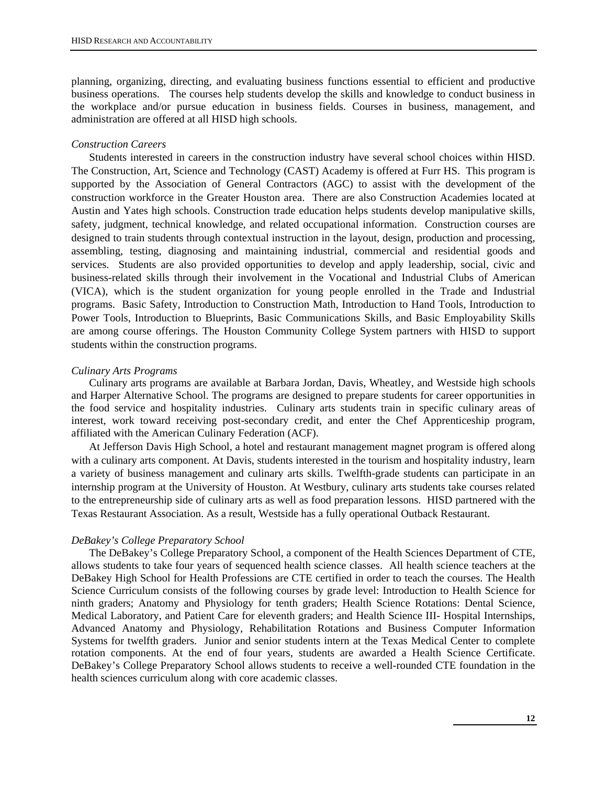planning, organizing, directing, and evaluating business functions essential to efficient and productive business operations. The courses help students develop the skills and knowledge to conduct business in the workplace and/or pursue education in business fields. Courses in business, management, and administration are offered at all HISD high schools.

#### *Construction Careers*

Students interested in careers in the construction industry have several school choices within HISD. The Construction, Art, Science and Technology (CAST) Academy is offered at Furr HS. This program is supported by the Association of General Contractors (AGC) to assist with the development of the construction workforce in the Greater Houston area. There are also Construction Academies located at Austin and Yates high schools. Construction trade education helps students develop manipulative skills, safety, judgment, technical knowledge, and related occupational information. Construction courses are designed to train students through contextual instruction in the layout, design, production and processing, assembling, testing, diagnosing and maintaining industrial, commercial and residential goods and services. Students are also provided opportunities to develop and apply leadership, social, civic and business-related skills through their involvement in the Vocational and Industrial Clubs of American (VICA), which is the student organization for young people enrolled in the Trade and Industrial programs. Basic Safety, Introduction to Construction Math, Introduction to Hand Tools, Introduction to Power Tools, Introduction to Blueprints, Basic Communications Skills, and Basic Employability Skills are among course offerings. The Houston Community College System partners with HISD to support students within the construction programs.

#### *Culinary Arts Programs*

Culinary arts programs are available at Barbara Jordan, Davis, Wheatley, and Westside high schools and Harper Alternative School. The programs are designed to prepare students for career opportunities in the food service and hospitality industries. Culinary arts students train in specific culinary areas of interest, work toward receiving post-secondary credit, and enter the Chef Apprenticeship program, affiliated with the American Culinary Federation (ACF).

At Jefferson Davis High School, a hotel and restaurant management magnet program is offered along with a culinary arts component. At Davis, students interested in the tourism and hospitality industry, learn a variety of business management and culinary arts skills. Twelfth-grade students can participate in an internship program at the University of Houston. At Westbury, culinary arts students take courses related to the entrepreneurship side of culinary arts as well as food preparation lessons. HISD partnered with the Texas Restaurant Association. As a result, Westside has a fully operational Outback Restaurant.

#### *DeBakey's College Preparatory School*

The DeBakey's College Preparatory School, a component of the Health Sciences Department of CTE, allows students to take four years of sequenced health science classes. All health science teachers at the DeBakey High School for Health Professions are CTE certified in order to teach the courses. The Health Science Curriculum consists of the following courses by grade level: Introduction to Health Science for ninth graders; Anatomy and Physiology for tenth graders; Health Science Rotations: Dental Science, Medical Laboratory, and Patient Care for eleventh graders; and Health Science III- Hospital Internships, Advanced Anatomy and Physiology, Rehabilitation Rotations and Business Computer Information Systems for twelfth graders. Junior and senior students intern at the Texas Medical Center to complete rotation components. At the end of four years, students are awarded a Health Science Certificate. DeBakey's College Preparatory School allows students to receive a well-rounded CTE foundation in the health sciences curriculum along with core academic classes.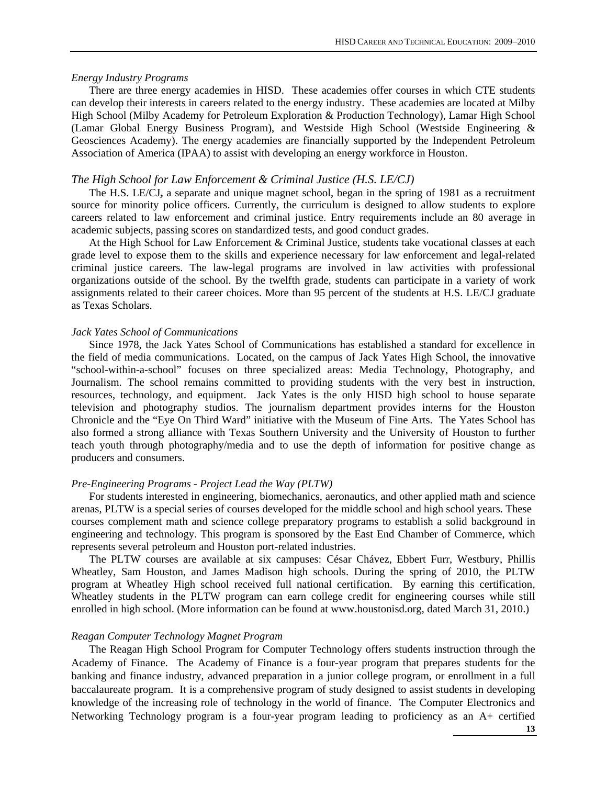#### *Energy Industry Programs*

There are three energy academies in HISD. These academies offer courses in which CTE students can develop their interests in careers related to the energy industry. These academies are located at Milby High School (Milby Academy for Petroleum Exploration & Production Technology), Lamar High School (Lamar Global Energy Business Program), and Westside High School (Westside Engineering & Geosciences Academy). The energy academies are financially supported by the Independent Petroleum Association of America (IPAA) to assist with developing an energy workforce in Houston.

#### *The High School for Law Enforcement & Criminal Justice (H.S. LE/CJ)*

The H.S. LE/CJ**,** a separate and unique magnet school, began in the spring of 1981 as a recruitment source for minority police officers. Currently, the curriculum is designed to allow students to explore careers related to law enforcement and criminal justice. Entry requirements include an 80 average in academic subjects, passing scores on standardized tests, and good conduct grades.

At the High School for Law Enforcement & Criminal Justice, students take vocational classes at each grade level to expose them to the skills and experience necessary for law enforcement and legal-related criminal justice careers. The law-legal programs are involved in law activities with professional organizations outside of the school. By the twelfth grade, students can participate in a variety of work assignments related to their career choices. More than 95 percent of the students at H.S. LE/CJ graduate as Texas Scholars.

#### *Jack Yates School of Communications*

Since 1978, the Jack Yates School of Communications has established a standard for excellence in the field of media communications. Located, on the campus of Jack Yates High School, the innovative "school-within-a-school" focuses on three specialized areas: Media Technology, Photography, and Journalism. The school remains committed to providing students with the very best in instruction, resources, technology, and equipment. Jack Yates is the only HISD high school to house separate television and photography studios. The journalism department provides interns for the Houston Chronicle and the "Eye On Third Ward" initiative with the Museum of Fine Arts. The Yates School has also formed a strong alliance with Texas Southern University and the University of Houston to further teach youth through photography/media and to use the depth of information for positive change as producers and consumers.

#### *Pre-Engineering Programs - Project Lead the Way (PLTW)*

For students interested in engineering, biomechanics, aeronautics, and other applied math and science arenas, PLTW is a special series of courses developed for the middle school and high school years. These courses complement math and science college preparatory programs to establish a solid background in engineering and technology. This program is sponsored by the East End Chamber of Commerce, which represents several petroleum and Houston port-related industries.

The PLTW courses are available at six campuses: César Chávez, Ebbert Furr, Westbury, Phillis Wheatley, Sam Houston, and James Madison high schools. During the spring of 2010, the PLTW program at Wheatley High school received full national certification. By earning this certification, Wheatley students in the PLTW program can earn college credit for engineering courses while still enrolled in high school. (More information can be found at www.houstonisd.org, dated March 31, 2010.)

#### *Reagan Computer Technology Magnet Program*

The Reagan High School Program for Computer Technology offers students instruction through the Academy of Finance. The Academy of Finance is a four-year program that prepares students for the banking and finance industry, advanced preparation in a junior college program, or enrollment in a full baccalaureate program. It is a comprehensive program of study designed to assist students in developing knowledge of the increasing role of technology in the world of finance. The Computer Electronics and Networking Technology program is a four-year program leading to proficiency as an A+ certified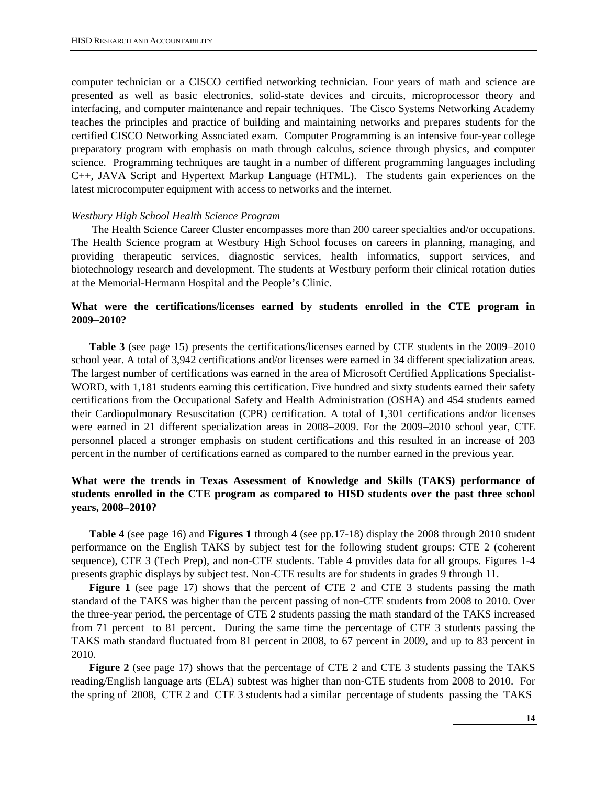computer technician or a CISCO certified networking technician. Four years of math and science are presented as well as basic electronics, solid-state devices and circuits, microprocessor theory and interfacing, and computer maintenance and repair techniques. The Cisco Systems Networking Academy teaches the principles and practice of building and maintaining networks and prepares students for the certified CISCO Networking Associated exam. Computer Programming is an intensive four-year college preparatory program with emphasis on math through calculus, science through physics, and computer science. Programming techniques are taught in a number of different programming languages including C++, JAVA Script and Hypertext Markup Language (HTML). The students gain experiences on the latest microcomputer equipment with access to networks and the internet.

#### *Westbury High School Health Science Program*

 The Health Science Career Cluster encompasses more than 200 career specialties and/or occupations. The Health Science program at Westbury High School focuses on careers in planning, managing, and providing therapeutic services, diagnostic services, health informatics, support services, and biotechnology research and development. The students at Westbury perform their clinical rotation duties at the Memorial-Hermann Hospital and the People's Clinic.

# **What were the certifications/licenses earned by students enrolled in the CTE program in 2009**−**2010?**

**Table 3** (see page 15) presents the certifications/licenses earned by CTE students in the 2009−2010 school year. A total of 3,942 certifications and/or licenses were earned in 34 different specialization areas. The largest number of certifications was earned in the area of Microsoft Certified Applications Specialist-WORD, with 1,181 students earning this certification. Five hundred and sixty students earned their safety certifications from the Occupational Safety and Health Administration (OSHA) and 454 students earned their Cardiopulmonary Resuscitation (CPR) certification. A total of 1,301 certifications and/or licenses were earned in 21 different specialization areas in 2008−2009. For the 2009−2010 school year, CTE personnel placed a stronger emphasis on student certifications and this resulted in an increase of 203 percent in the number of certifications earned as compared to the number earned in the previous year.

# **What were the trends in Texas Assessment of Knowledge and Skills (TAKS) performance of students enrolled in the CTE program as compared to HISD students over the past three school years, 2008**−**2010?**

**Table 4** (see page 16) and **Figures 1** through **4** (see pp.17-18) display the 2008 through 2010 student performance on the English TAKS by subject test for the following student groups: CTE 2 (coherent sequence), CTE 3 (Tech Prep), and non-CTE students. Table 4 provides data for all groups. Figures 1-4 presents graphic displays by subject test. Non-CTE results are for students in grades 9 through 11.

**Figure 1** (see page 17) shows that the percent of CTE 2 and CTE 3 students passing the math standard of the TAKS was higher than the percent passing of non-CTE students from 2008 to 2010. Over the three-year period, the percentage of CTE 2 students passing the math standard of the TAKS increased from 71 percent to 81 percent. During the same time the percentage of CTE 3 students passing the TAKS math standard fluctuated from 81 percent in 2008, to 67 percent in 2009, and up to 83 percent in 2010.

**Figure 2** (see page 17) shows that the percentage of CTE 2 and CTE 3 students passing the TAKS reading/English language arts (ELA) subtest was higher than non-CTE students from 2008 to 2010. For the spring of 2008, CTE 2 and CTE 3 students had a similar percentage of students passing the TAKS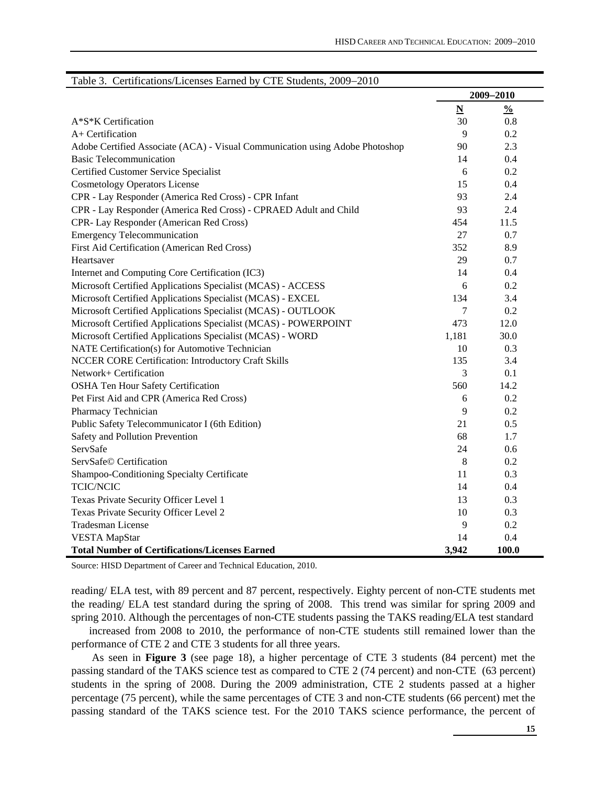|                                                                              | 2009-2010                |               |  |  |  |
|------------------------------------------------------------------------------|--------------------------|---------------|--|--|--|
|                                                                              | $\underline{\mathbf{N}}$ | $\frac{0}{0}$ |  |  |  |
| A*S*K Certification                                                          | 30                       | 0.8           |  |  |  |
| A+ Certification                                                             | 9                        | 0.2           |  |  |  |
| Adobe Certified Associate (ACA) - Visual Communication using Adobe Photoshop | 90                       | 2.3           |  |  |  |
| <b>Basic Telecommunication</b>                                               | 14                       | 0.4           |  |  |  |
| Certified Customer Service Specialist                                        | 6                        | 0.2           |  |  |  |
| <b>Cosmetology Operators License</b>                                         | 15                       | 0.4           |  |  |  |
| CPR - Lay Responder (America Red Cross) - CPR Infant                         | 93                       | 2.4           |  |  |  |
| CPR - Lay Responder (America Red Cross) - CPRAED Adult and Child             | 93                       | 2.4           |  |  |  |
| CPR- Lay Responder (American Red Cross)                                      | 454                      | 11.5          |  |  |  |
| <b>Emergency Telecommunication</b>                                           | 27                       | 0.7           |  |  |  |
| First Aid Certification (American Red Cross)                                 | 352                      | 8.9           |  |  |  |
| Heartsaver                                                                   | 29                       | 0.7           |  |  |  |
| Internet and Computing Core Certification (IC3)                              | 14                       | 0.4           |  |  |  |
| Microsoft Certified Applications Specialist (MCAS) - ACCESS                  | 6                        | 0.2           |  |  |  |
| Microsoft Certified Applications Specialist (MCAS) - EXCEL                   | 134                      | 3.4           |  |  |  |
| Microsoft Certified Applications Specialist (MCAS) - OUTLOOK                 | 7                        | 0.2           |  |  |  |
| Microsoft Certified Applications Specialist (MCAS) - POWERPOINT              | 473                      | 12.0          |  |  |  |
| Microsoft Certified Applications Specialist (MCAS) - WORD                    | 1,181                    | 30.0          |  |  |  |
| NATE Certification(s) for Automotive Technician                              | 10                       | 0.3           |  |  |  |
| NCCER CORE Certification: Introductory Craft Skills                          | 135                      | 3.4           |  |  |  |
| Network+ Certification                                                       | 3                        | 0.1           |  |  |  |
| OSHA Ten Hour Safety Certification                                           | 560                      | 14.2          |  |  |  |
| Pet First Aid and CPR (America Red Cross)                                    | 6                        | 0.2           |  |  |  |
| Pharmacy Technician                                                          | 9                        | 0.2           |  |  |  |
| Public Safety Telecommunicator I (6th Edition)                               | 21                       | 0.5           |  |  |  |
| Safety and Pollution Prevention                                              | 68                       | 1.7           |  |  |  |
| ServSafe                                                                     | 24                       | 0.6           |  |  |  |
| ServSafe© Certification                                                      | 8                        | 0.2           |  |  |  |
| Shampoo-Conditioning Specialty Certificate                                   | 11                       | 0.3           |  |  |  |
| <b>TCIC/NCIC</b>                                                             | 14                       | 0.4           |  |  |  |
| Texas Private Security Officer Level 1                                       | 13                       | 0.3           |  |  |  |
| Texas Private Security Officer Level 2                                       | 10                       | 0.3           |  |  |  |
| <b>Tradesman License</b>                                                     | 9                        | 0.2           |  |  |  |
| <b>VESTA</b> MapStar                                                         | 14                       | 0.4           |  |  |  |
| <b>Total Number of Certifications/Licenses Earned</b>                        | 3,942                    | 100.0         |  |  |  |

# Table 3. Certifications/Licenses Earned by CTE Students, 2009−2010

Source: HISD Department of Career and Technical Education, 2010.

reading/ ELA test, with 89 percent and 87 percent, respectively. Eighty percent of non-CTE students met the reading/ ELA test standard during the spring of 2008. This trend was similar for spring 2009 and spring 2010. Although the percentages of non-CTE students passing the TAKS reading/ELA test standard

increased from 2008 to 2010, the performance of non-CTE students still remained lower than the performance of CTE 2 and CTE 3 students for all three years.

 As seen in **Figure 3** (see page 18), a higher percentage of CTE 3 students (84 percent) met the passing standard of the TAKS science test as compared to CTE 2 (74 percent) and non-CTE (63 percent) students in the spring of 2008. During the 2009 administration, CTE 2 students passed at a higher percentage (75 percent), while the same percentages of CTE 3 and non-CTE students (66 percent) met the passing standard of the TAKS science test. For the 2010 TAKS science performance, the percent of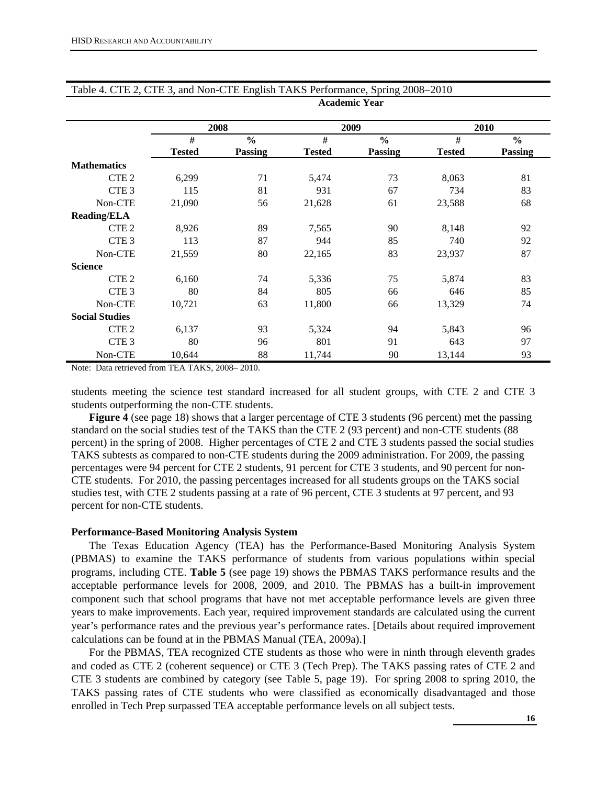|                       |               | 2008           |               | 2009           |               | 2010           |
|-----------------------|---------------|----------------|---------------|----------------|---------------|----------------|
|                       | #             | $\frac{0}{0}$  | #             | $\frac{0}{0}$  | #             | $\frac{0}{0}$  |
|                       | <b>Tested</b> | <b>Passing</b> | <b>Tested</b> | <b>Passing</b> | <b>Tested</b> | <b>Passing</b> |
| <b>Mathematics</b>    |               |                |               |                |               |                |
| CTE <sub>2</sub>      | 6,299         | 71             | 5,474         | 73             | 8,063         | 81             |
| CTE <sub>3</sub>      | 115           | 81             | 931           | 67             | 734           | 83             |
| Non-CTE               | 21,090        | 56             | 21,628        | 61             | 23,588        | 68             |
| <b>Reading/ELA</b>    |               |                |               |                |               |                |
| CTE <sub>2</sub>      | 8,926         | 89             | 7,565         | 90             | 8,148         | 92             |
| CTE <sub>3</sub>      | 113           | 87             | 944           | 85             | 740           | 92             |
| Non-CTE               | 21,559        | 80             | 22,165        | 83             | 23,937        | 87             |
| <b>Science</b>        |               |                |               |                |               |                |
| CTE <sub>2</sub>      | 6,160         | 74             | 5,336         | 75             | 5,874         | 83             |
| CTE <sub>3</sub>      | 80            | 84             | 805           | 66             | 646           | 85             |
| Non-CTE               | 10,721        | 63             | 11,800        | 66             | 13,329        | 74             |
| <b>Social Studies</b> |               |                |               |                |               |                |
| CTE <sub>2</sub>      | 6,137         | 93             | 5,324         | 94             | 5,843         | 96             |
| CTE <sub>3</sub>      | 80            | 96             | 801           | 91             | 643           | 97             |
| Non-CTE               | 10,644        | 88             | 11,744        | 90             | 13,144        | 93             |

#### Table 4. CTE 2, CTE 3, and Non-CTE English TAKS Performance, Spring 2008−2010 **Academic Year**

Note: Data retrieved from TEA TAKS, 2008– 2010.

students meeting the science test standard increased for all student groups, with CTE 2 and CTE 3 students outperforming the non-CTE students.

**Figure 4** (see page 18) shows that a larger percentage of CTE 3 students (96 percent) met the passing standard on the social studies test of the TAKS than the CTE 2 (93 percent) and non-CTE students (88 percent) in the spring of 2008. Higher percentages of CTE 2 and CTE 3 students passed the social studies TAKS subtests as compared to non-CTE students during the 2009 administration. For 2009, the passing percentages were 94 percent for CTE 2 students, 91 percent for CTE 3 students, and 90 percent for non-CTE students. For 2010, the passing percentages increased for all students groups on the TAKS social studies test, with CTE 2 students passing at a rate of 96 percent, CTE 3 students at 97 percent, and 93 percent for non-CTE students.

#### **Performance-Based Monitoring Analysis System**

The Texas Education Agency (TEA) has the Performance-Based Monitoring Analysis System (PBMAS) to examine the TAKS performance of students from various populations within special programs, including CTE. **Table 5** (see page 19) shows the PBMAS TAKS performance results and the acceptable performance levels for 2008, 2009, and 2010. The PBMAS has a built-in improvement component such that school programs that have not met acceptable performance levels are given three years to make improvements. Each year, required improvement standards are calculated using the current year's performance rates and the previous year's performance rates. [Details about required improvement calculations can be found at in the PBMAS Manual (TEA, 2009a).]

For the PBMAS, TEA recognized CTE students as those who were in ninth through eleventh grades and coded as CTE 2 (coherent sequence) or CTE 3 (Tech Prep). The TAKS passing rates of CTE 2 and CTE 3 students are combined by category (see Table 5, page 19). For spring 2008 to spring 2010, the TAKS passing rates of CTE students who were classified as economically disadvantaged and those enrolled in Tech Prep surpassed TEA acceptable performance levels on all subject tests.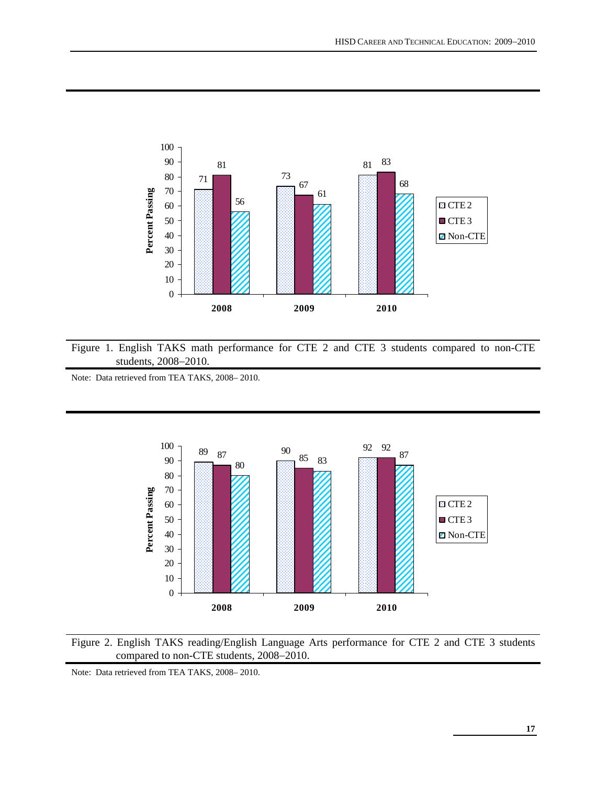

Figure 1. English TAKS math performance for CTE 2 and CTE 3 students compared to non-CTE students, 2008−2010.

Note: Data retrieved from TEA TAKS, 2008– 2010.





Note: Data retrieved from TEA TAKS, 2008– 2010.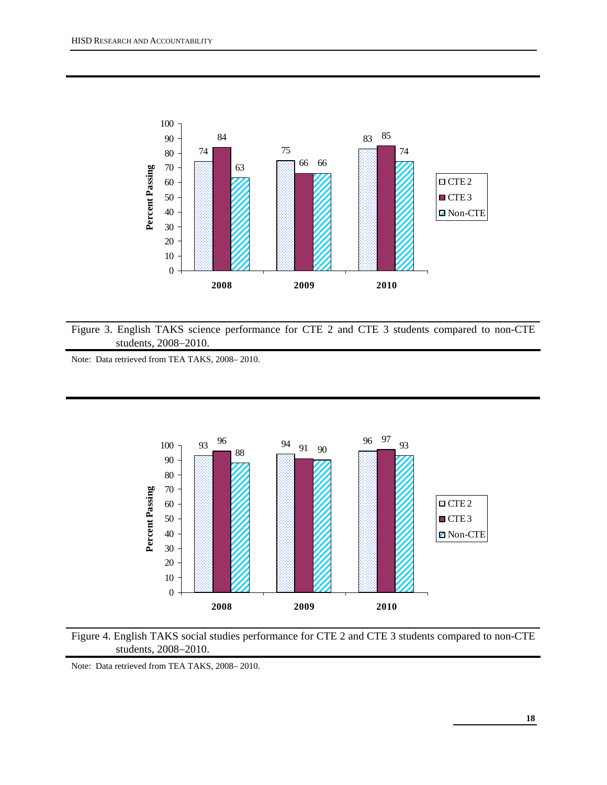

Figure 3. English TAKS science performance for CTE 2 and CTE 3 students compared to non-CTE students, 2008−2010.

Note: Data retrieved from TEA TAKS, 2008– 2010.





Note: Data retrieved from TEA TAKS, 2008– 2010.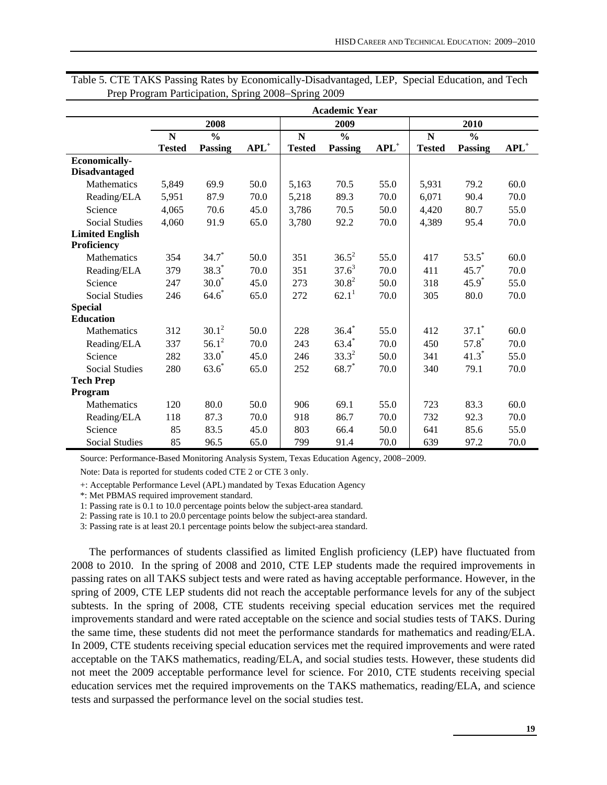|                        | <b>Academic Year</b> |               |                                    |               |                   |         |               |                     |                    |  |  |
|------------------------|----------------------|---------------|------------------------------------|---------------|-------------------|---------|---------------|---------------------|--------------------|--|--|
|                        |                      | 2008          |                                    |               | 2009              |         |               | 2010                |                    |  |  |
|                        | $\mathbf N$          | $\frac{0}{0}$ |                                    | ${\bf N}$     | $\frac{0}{0}$     |         | ${\bf N}$     | $\frac{0}{0}$       |                    |  |  |
|                        | <b>Tested</b>        | Passing       | $\mathbf{A}\mathbf{P}\mathbf{L}^+$ | <b>Tested</b> | Passing           | $APL^+$ | <b>Tested</b> | Passing             | $APL$ <sup>+</sup> |  |  |
| <b>Economically-</b>   |                      |               |                                    |               |                   |         |               |                     |                    |  |  |
| <b>Disadvantaged</b>   |                      |               |                                    |               |                   |         |               |                     |                    |  |  |
| Mathematics            | 5,849                | 69.9          | 50.0                               | 5,163         | 70.5              | 55.0    | 5,931         | 79.2                | 60.0               |  |  |
| Reading/ELA            | 5,951                | 87.9          | 70.0                               | 5,218         | 89.3              | 70.0    | 6,071         | 90.4                | 70.0               |  |  |
| Science                | 4,065                | 70.6          | 45.0                               | 3,786         | 70.5              | 50.0    | 4,420         | 80.7                | 55.0               |  |  |
| <b>Social Studies</b>  | 4,060                | 91.9          | 65.0                               | 3,780         | 92.2              | 70.0    | 4,389         | 95.4                | 70.0               |  |  |
| <b>Limited English</b> |                      |               |                                    |               |                   |         |               |                     |                    |  |  |
| Proficiency            |                      |               |                                    |               |                   |         |               |                     |                    |  |  |
| Mathematics            | 354                  | $34.7*$       | 50.0                               | 351           | $36.5^2$          | 55.0    | 417           | $53.5^*$            | 60.0               |  |  |
| Reading/ELA            | 379                  | $38.3*$       | 70.0                               | 351           | $37.6^3$          | 70.0    | 411           | $45.7*$             | 70.0               |  |  |
| Science                | 247                  | $30.0*$       | 45.0                               | 273           | $30.8^{2}$        | 50.0    | 318           | $45.9*$             | 55.0               |  |  |
| <b>Social Studies</b>  | 246                  | $64.6*$       | 65.0                               | 272           | 62.1 <sup>1</sup> | 70.0    | 305           | 80.0                | 70.0               |  |  |
| <b>Special</b>         |                      |               |                                    |               |                   |         |               |                     |                    |  |  |
| <b>Education</b>       |                      |               |                                    |               |                   |         |               |                     |                    |  |  |
| Mathematics            | 312                  | $30.1^2$      | 50.0                               | 228           | $36.4*$           | 55.0    | 412           | $37.1$ <sup>*</sup> | 60.0               |  |  |
| Reading/ELA            | 337                  | $56.1^2$      | 70.0                               | 243           | $63.4*$           | 70.0    | 450           | $57.8*$             | 70.0               |  |  |
| Science                | 282                  | $33.0*$       | 45.0                               | 246           | $33.3^{2}$        | 50.0    | 341           | $41.3*$             | 55.0               |  |  |
| <b>Social Studies</b>  | 280                  | $63.6*$       | 65.0                               | 252           | 68.7*             | 70.0    | 340           | 79.1                | 70.0               |  |  |
| <b>Tech Prep</b>       |                      |               |                                    |               |                   |         |               |                     |                    |  |  |
| Program                |                      |               |                                    |               |                   |         |               |                     |                    |  |  |
| Mathematics            | 120                  | 80.0          | 50.0                               | 906           | 69.1              | 55.0    | 723           | 83.3                | 60.0               |  |  |
| Reading/ELA            | 118                  | 87.3          | 70.0                               | 918           | 86.7              | 70.0    | 732           | 92.3                | 70.0               |  |  |
| Science                | 85                   | 83.5          | 45.0                               | 803           | 66.4              | 50.0    | 641           | 85.6                | 55.0               |  |  |
| <b>Social Studies</b>  | 85                   | 96.5          | 65.0                               | 799           | 91.4              | 70.0    | 639           | 97.2                | 70.0               |  |  |

Table 5. CTE TAKS Passing Rates by Economically-Disadvantaged, LEP, Special Education, and Tech Prep Program Participation, Spring 2008−Spring 2009

Source: Performance-Based Monitoring Analysis System, Texas Education Agency, 2008−2009.

Note: Data is reported for students coded CTE 2 or CTE 3 only.

+: Acceptable Performance Level (APL) mandated by Texas Education Agency

\*: Met PBMAS required improvement standard.

1: Passing rate is 0.1 to 10.0 percentage points below the subject-area standard.

2: Passing rate is 10.1 to 20.0 percentage points below the subject-area standard.

3: Passing rate is at least 20.1 percentage points below the subject-area standard.

The performances of students classified as limited English proficiency (LEP) have fluctuated from 2008 to 2010. In the spring of 2008 and 2010, CTE LEP students made the required improvements in passing rates on all TAKS subject tests and were rated as having acceptable performance. However, in the spring of 2009, CTE LEP students did not reach the acceptable performance levels for any of the subject subtests. In the spring of 2008, CTE students receiving special education services met the required improvements standard and were rated acceptable on the science and social studies tests of TAKS. During the same time, these students did not meet the performance standards for mathematics and reading/ELA. In 2009, CTE students receiving special education services met the required improvements and were rated acceptable on the TAKS mathematics, reading/ELA, and social studies tests. However, these students did not meet the 2009 acceptable performance level for science. For 2010, CTE students receiving special education services met the required improvements on the TAKS mathematics, reading/ELA, and science tests and surpassed the performance level on the social studies test.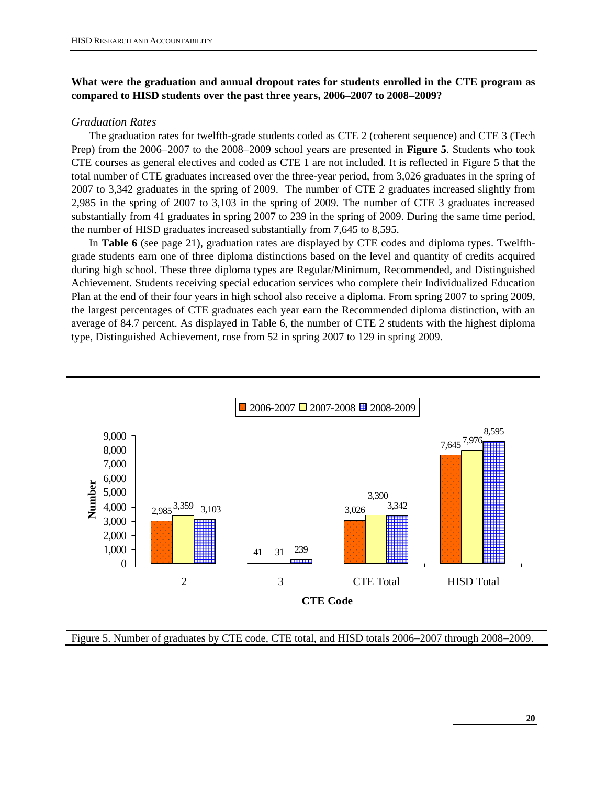# **What were the graduation and annual dropout rates for students enrolled in the CTE program as compared to HISD students over the past three years, 2006–2007 to 2008**−**2009?**

#### *Graduation Rates*

The graduation rates for twelfth-grade students coded as CTE 2 (coherent sequence) and CTE 3 (Tech Prep) from the 2006−2007 to the 2008−2009 school years are presented in **Figure 5**. Students who took CTE courses as general electives and coded as CTE 1 are not included. It is reflected in Figure 5 that the total number of CTE graduates increased over the three-year period, from 3,026 graduates in the spring of 2007 to 3,342 graduates in the spring of 2009. The number of CTE 2 graduates increased slightly from 2,985 in the spring of 2007 to 3,103 in the spring of 2009. The number of CTE 3 graduates increased substantially from 41 graduates in spring 2007 to 239 in the spring of 2009. During the same time period, the number of HISD graduates increased substantially from 7,645 to 8,595.

In **Table 6** (see page 21), graduation rates are displayed by CTE codes and diploma types. Twelfthgrade students earn one of three diploma distinctions based on the level and quantity of credits acquired during high school. These three diploma types are Regular/Minimum, Recommended, and Distinguished Achievement. Students receiving special education services who complete their Individualized Education Plan at the end of their four years in high school also receive a diploma. From spring 2007 to spring 2009, the largest percentages of CTE graduates each year earn the Recommended diploma distinction, with an average of 84.7 percent. As displayed in Table 6, the number of CTE 2 students with the highest diploma type, Distinguished Achievement, rose from 52 in spring 2007 to 129 in spring 2009.



Figure 5. Number of graduates by CTE code, CTE total, and HISD totals 2006−2007 through 2008−2009.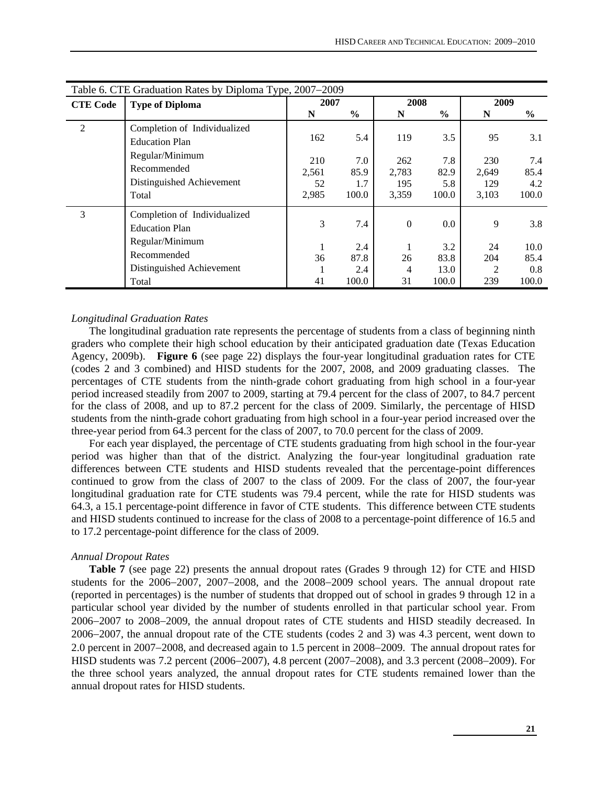|                 | Table 6. CTE Graduation Rates by Diploma Type, 2007–2009                                                             |                             |                             |                              |                             |                              |                             |  |  |  |  |
|-----------------|----------------------------------------------------------------------------------------------------------------------|-----------------------------|-----------------------------|------------------------------|-----------------------------|------------------------------|-----------------------------|--|--|--|--|
| <b>CTE Code</b> | <b>Type of Diploma</b>                                                                                               | 2007                        |                             | 2008                         |                             | 2009                         |                             |  |  |  |  |
|                 |                                                                                                                      | N                           | $\frac{6}{9}$               | N                            | $\%$                        | N                            | $\frac{6}{6}$               |  |  |  |  |
| $\overline{2}$  | Completion of Individualized<br><b>Education Plan</b>                                                                | 162                         | 5.4                         | 119                          | 3.5                         | 95                           | 3.1                         |  |  |  |  |
|                 | Regular/Minimum<br>Recommended<br>Distinguished Achievement<br>Total                                                 | 210<br>2,561<br>52<br>2,985 | 7.0<br>85.9<br>1.7<br>100.0 | 262<br>2,783<br>195<br>3,359 | 7.8<br>82.9<br>5.8<br>100.0 | 230<br>2,649<br>129<br>3,103 | 7.4<br>85.4<br>4.2<br>100.0 |  |  |  |  |
| 3               | Completion of Individualized<br><b>Education Plan</b><br>Regular/Minimum<br>Recommended<br>Distinguished Achievement | 3<br>36                     | 7.4<br>2.4<br>87.8<br>2.4   | $\mathbf{0}$<br>26<br>4      | 0.0<br>3.2<br>83.8<br>13.0  | 9<br>24<br>204<br>2          | 3.8<br>10.0<br>85.4<br>0.8  |  |  |  |  |
|                 | Total                                                                                                                | 41                          | 100.0                       | 31                           | 100.0                       | 239                          | 100.0                       |  |  |  |  |

#### *Longitudinal Graduation Rates*

The longitudinal graduation rate represents the percentage of students from a class of beginning ninth graders who complete their high school education by their anticipated graduation date (Texas Education Agency, 2009b). **Figure 6** (see page 22) displays the four-year longitudinal graduation rates for CTE (codes 2 and 3 combined) and HISD students for the 2007, 2008, and 2009 graduating classes. The percentages of CTE students from the ninth-grade cohort graduating from high school in a four-year period increased steadily from 2007 to 2009, starting at 79.4 percent for the class of 2007, to 84.7 percent for the class of 2008, and up to 87.2 percent for the class of 2009. Similarly, the percentage of HISD students from the ninth-grade cohort graduating from high school in a four-year period increased over the three-year period from 64.3 percent for the class of 2007, to 70.0 percent for the class of 2009.

For each year displayed, the percentage of CTE students graduating from high school in the four-year period was higher than that of the district. Analyzing the four-year longitudinal graduation rate differences between CTE students and HISD students revealed that the percentage-point differences continued to grow from the class of 2007 to the class of 2009. For the class of 2007, the four-year longitudinal graduation rate for CTE students was 79.4 percent, while the rate for HISD students was 64.3, a 15.1 percentage-point difference in favor of CTE students. This difference between CTE students and HISD students continued to increase for the class of 2008 to a percentage-point difference of 16.5 and to 17.2 percentage-point difference for the class of 2009.

#### *Annual Dropout Rates*

Table 7 (see page 22) presents the annual dropout rates (Grades 9 through 12) for CTE and HISD students for the 2006−2007, 2007−2008, and the 2008−2009 school years. The annual dropout rate (reported in percentages) is the number of students that dropped out of school in grades 9 through 12 in a particular school year divided by the number of students enrolled in that particular school year. From 2006−2007 to 2008−2009, the annual dropout rates of CTE students and HISD steadily decreased. In 2006−2007, the annual dropout rate of the CTE students (codes 2 and 3) was 4.3 percent, went down to 2.0 percent in 2007−2008, and decreased again to 1.5 percent in 2008−2009. The annual dropout rates for HISD students was 7.2 percent (2006−2007), 4.8 percent (2007−2008), and 3.3 percent (2008−2009). For the three school years analyzed, the annual dropout rates for CTE students remained lower than the annual dropout rates for HISD students.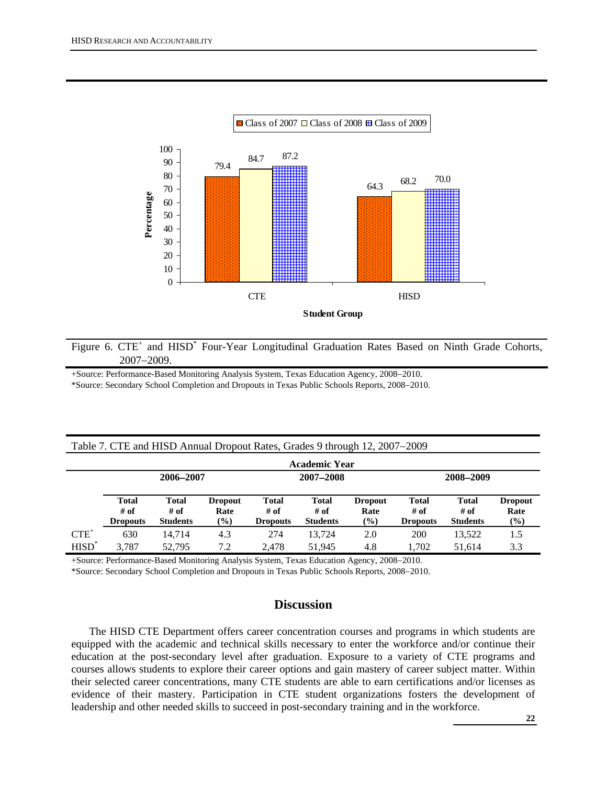

Figure 6. CTE<sup>+</sup> and HISD<sup>\*</sup> Four-Year Longitudinal Graduation Rates Based on Ninth Grade Cohorts, 2007−2009.

+Source: Performance-Based Monitoring Analysis System, Texas Education Agency, 2008−2010. \*Source: Secondary School Completion and Dropouts in Texas Public Schools Reports, 2008−2010.

| Table 7. CTE and HISD Annual Dropout Rates, Grades 9 through 12, 2007–2009 |  |
|----------------------------------------------------------------------------|--|
|                                                                            |  |

|          | <b>Academic Year</b>                    |                                         |                                  |                                  |                                  |                                  |                                  |                                  |                                  |  |  |  |  |
|----------|-----------------------------------------|-----------------------------------------|----------------------------------|----------------------------------|----------------------------------|----------------------------------|----------------------------------|----------------------------------|----------------------------------|--|--|--|--|
|          | 2006-2007                               |                                         |                                  |                                  | 2007-2008                        |                                  | 2008-2009                        |                                  |                                  |  |  |  |  |
|          | <b>Total</b><br># of<br><b>Dropouts</b> | <b>Total</b><br># of<br><b>Students</b> | <b>Dropout</b><br>Rate<br>$(\%)$ | Total<br># of<br><b>Dropouts</b> | Total<br># of<br><b>Students</b> | <b>Dropout</b><br>Rate<br>$(\%)$ | Total<br># of<br><b>Dropouts</b> | Total<br># of<br><b>Students</b> | <b>Dropout</b><br>Rate<br>$(\%)$ |  |  |  |  |
| $CTE^+$  | 630                                     | 14.714                                  | 4.3                              | 274                              | 13.724                           | 2.0                              | 200                              | 13.522                           | 1.5                              |  |  |  |  |
| $HISD^*$ | 3.787                                   | 52,795                                  | 7.2                              | 2.478                            | 51.945                           | 4.8                              | 1.702                            | 51.614                           | 3.3                              |  |  |  |  |

+Source: Performance-Based Monitoring Analysis System, Texas Education Agency, 2008−2010.

\*Source: Secondary School Completion and Dropouts in Texas Public Schools Reports, 2008−2010.

# **Discussion**

The HISD CTE Department offers career concentration courses and programs in which students are equipped with the academic and technical skills necessary to enter the workforce and/or continue their education at the post-secondary level after graduation. Exposure to a variety of CTE programs and courses allows students to explore their career options and gain mastery of career subject matter. Within their selected career concentrations, many CTE students are able to earn certifications and/or licenses as evidence of their mastery. Participation in CTE student organizations fosters the development of leadership and other needed skills to succeed in post-secondary training and in the workforce.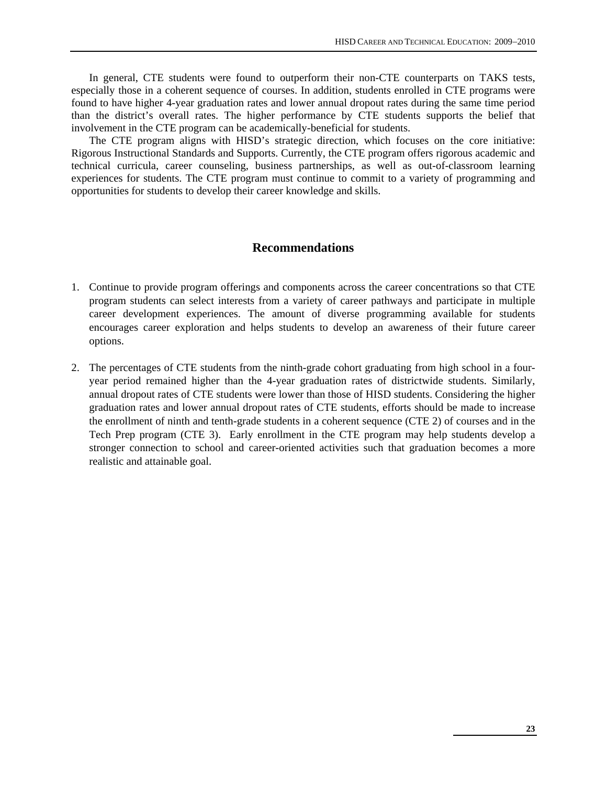In general, CTE students were found to outperform their non-CTE counterparts on TAKS tests, especially those in a coherent sequence of courses. In addition, students enrolled in CTE programs were found to have higher 4-year graduation rates and lower annual dropout rates during the same time period than the district's overall rates. The higher performance by CTE students supports the belief that involvement in the CTE program can be academically-beneficial for students.

The CTE program aligns with HISD's strategic direction, which focuses on the core initiative: Rigorous Instructional Standards and Supports. Currently, the CTE program offers rigorous academic and technical curricula, career counseling, business partnerships, as well as out-of-classroom learning experiences for students. The CTE program must continue to commit to a variety of programming and opportunities for students to develop their career knowledge and skills.

# **Recommendations**

- 1. Continue to provide program offerings and components across the career concentrations so that CTE program students can select interests from a variety of career pathways and participate in multiple career development experiences. The amount of diverse programming available for students encourages career exploration and helps students to develop an awareness of their future career options.
- 2. The percentages of CTE students from the ninth-grade cohort graduating from high school in a fouryear period remained higher than the 4-year graduation rates of districtwide students. Similarly, annual dropout rates of CTE students were lower than those of HISD students. Considering the higher graduation rates and lower annual dropout rates of CTE students, efforts should be made to increase the enrollment of ninth and tenth-grade students in a coherent sequence (CTE 2) of courses and in the Tech Prep program (CTE 3). Early enrollment in the CTE program may help students develop a stronger connection to school and career-oriented activities such that graduation becomes a more realistic and attainable goal.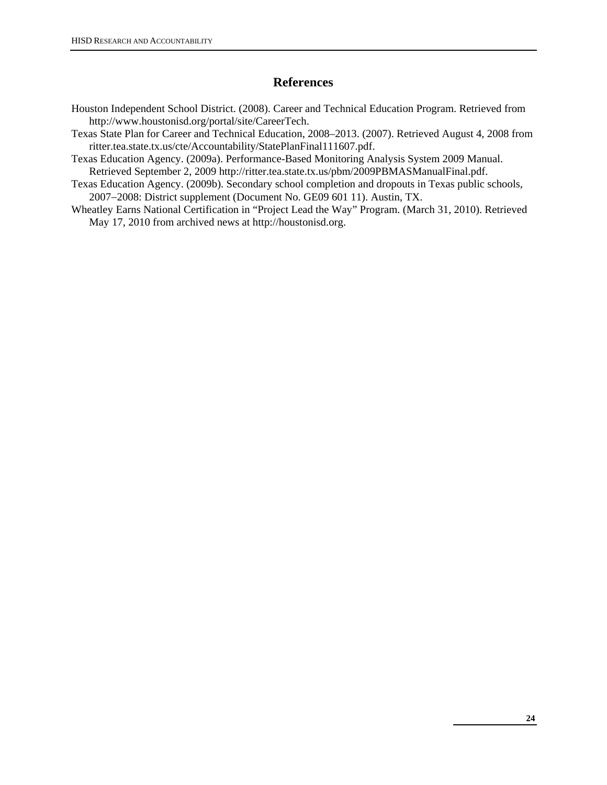# **References**

- Houston Independent School District. (2008). Career and Technical Education Program. Retrieved from http://www.houstonisd.org/portal/site/CareerTech.
- Texas State Plan for Career and Technical Education, 2008–2013. (2007). Retrieved August 4, 2008 from ritter.tea.state.tx.us/cte/Accountability/StatePlanFinal111607.pdf.
- Texas Education Agency. (2009a). Performance-Based Monitoring Analysis System 2009 Manual. Retrieved September 2, 2009 http://ritter.tea.state.tx.us/pbm/2009PBMASManualFinal.pdf.
- Texas Education Agency. (2009b). Secondary school completion and dropouts in Texas public schools, 2007−2008: District supplement (Document No. GE09 601 11). Austin, TX.
- Wheatley Earns National Certification in "Project Lead the Way" Program. (March 31, 2010). Retrieved May 17, 2010 from archived news at http://houstonisd.org.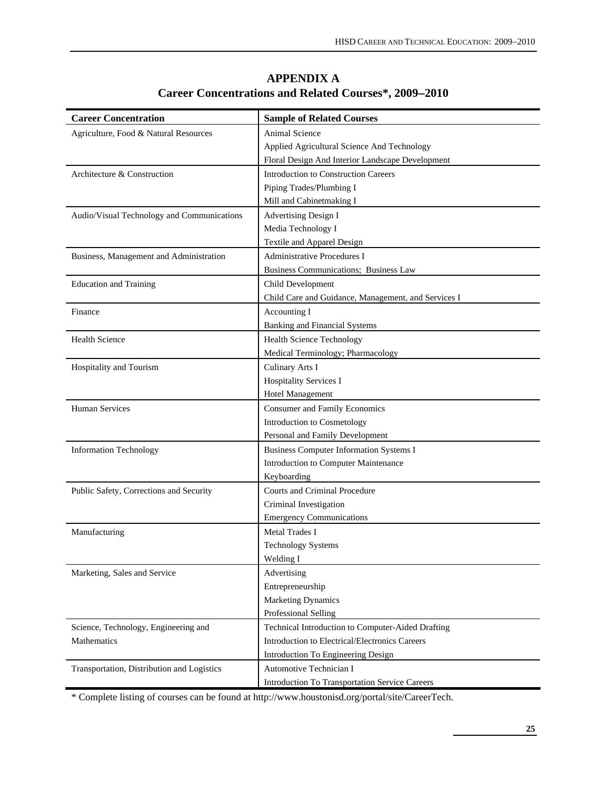| <b>Career Concentration</b>                | <b>Sample of Related Courses</b>                    |
|--------------------------------------------|-----------------------------------------------------|
| Agriculture, Food & Natural Resources      | Animal Science                                      |
|                                            | Applied Agricultural Science And Technology         |
|                                            | Floral Design And Interior Landscape Development    |
| Architecture & Construction                | <b>Introduction to Construction Careers</b>         |
|                                            | Piping Trades/Plumbing I                            |
|                                            | Mill and Cabinetmaking I                            |
| Audio/Visual Technology and Communications | <b>Advertising Design I</b>                         |
|                                            | Media Technology I                                  |
|                                            | Textile and Apparel Design                          |
| Business, Management and Administration    | Administrative Procedures I                         |
|                                            | Business Communications; Business Law               |
| <b>Education and Training</b>              | Child Development                                   |
|                                            | Child Care and Guidance, Management, and Services I |
| Finance                                    | Accounting I                                        |
|                                            | <b>Banking and Financial Systems</b>                |
| Health Science                             | <b>Health Science Technology</b>                    |
|                                            | Medical Terminology; Pharmacology                   |
| Hospitality and Tourism                    | Culinary Arts I                                     |
|                                            | Hospitality Services I                              |
|                                            | Hotel Management                                    |
| <b>Human Services</b>                      | <b>Consumer and Family Economics</b>                |
|                                            | Introduction to Cosmetology                         |
|                                            | Personal and Family Development                     |
| <b>Information Technology</b>              | <b>Business Computer Information Systems I</b>      |
|                                            | Introduction to Computer Maintenance                |
|                                            | Keyboarding                                         |
| Public Safety, Corrections and Security    | Courts and Criminal Procedure                       |
|                                            | Criminal Investigation                              |
|                                            | <b>Emergency Communications</b>                     |
| Manufacturing                              | Metal Trades I                                      |
|                                            | <b>Technology Systems</b>                           |
|                                            | Welding I                                           |
| Marketing, Sales and Service               | Advertising                                         |
|                                            | Entrepreneurship                                    |
|                                            | <b>Marketing Dynamics</b>                           |
|                                            | Professional Selling                                |
| Science, Technology, Engineering and       | Technical Introduction to Computer-Aided Drafting   |
| Mathematics                                | Introduction to Electrical/Electronics Careers      |
|                                            | Introduction To Engineering Design                  |
| Transportation, Distribution and Logistics | Automotive Technician I                             |
|                                            | Introduction To Transportation Service Careers      |

**APPENDIX A Career Concentrations and Related Courses\*, 2009**−**2010** 

\* Complete listing of courses can be found at http://www.houstonisd.org/portal/site/CareerTech.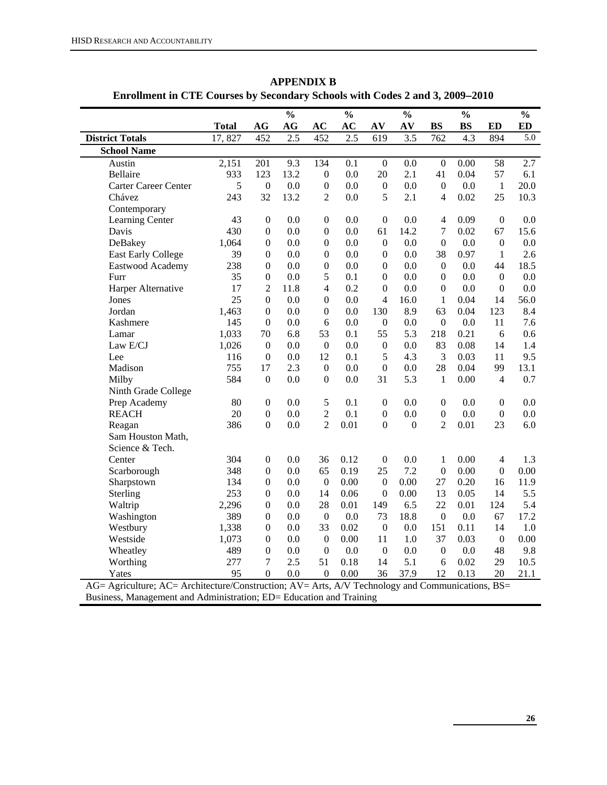|                                                                                                  | <b>Total</b> | AG                                 | $\frac{0}{0}$<br>AG | AC                     | $\frac{0}{0}$<br>AC | AV                 | $\frac{0}{0}$<br>AV | <b>BS</b>               | $\frac{0}{0}$<br><b>BS</b> | ED               | $\frac{0}{0}$<br><b>ED</b> |
|--------------------------------------------------------------------------------------------------|--------------|------------------------------------|---------------------|------------------------|---------------------|--------------------|---------------------|-------------------------|----------------------------|------------------|----------------------------|
| <b>District Totals</b>                                                                           | 17,827       | 452                                | 2.5                 | 452                    | $\overline{2.5}$    | 619                | $\overline{3.5}$    | 762                     | $\overline{4.3}$           | 894              | 5.0                        |
| <b>School Name</b>                                                                               |              |                                    |                     |                        |                     |                    |                     |                         |                            |                  |                            |
| Austin                                                                                           | 2,151        | 201                                | 9.3                 | 134                    | 0.1                 | $\boldsymbol{0}$   | 0.0                 | $\boldsymbol{0}$        | 0.00                       | 58               | 2.7                        |
| Bellaire                                                                                         | 933          | 123                                | 13.2                | $\boldsymbol{0}$       | 0.0                 | 20                 | 2.1                 | 41                      | 0.04                       | 57               | 6.1                        |
| <b>Carter Career Center</b>                                                                      | 5            | $\boldsymbol{0}$                   | 0.0                 | $\boldsymbol{0}$       | 0.0                 | $\boldsymbol{0}$   | 0.0                 | $\boldsymbol{0}$        | 0.0                        | $\mathbf{1}$     | 20.0                       |
| Chávez                                                                                           | 243          | 32                                 | 13.2                | $\overline{2}$         | 0.0                 | 5                  | 2.1                 | 4                       | 0.02                       | 25               | 10.3                       |
| Contemporary                                                                                     |              |                                    |                     |                        |                     |                    |                     |                         |                            |                  |                            |
| Learning Center                                                                                  | 43           | $\boldsymbol{0}$                   | 0.0                 | $\boldsymbol{0}$       | 0.0                 | $\boldsymbol{0}$   | 0.0                 | $\overline{4}$          | 0.09                       | $\mathbf{0}$     | 0.0                        |
| Davis                                                                                            | 430          | $\boldsymbol{0}$                   | 0.0                 | $\boldsymbol{0}$       | 0.0                 | 61                 | 14.2                | $\tau$                  | 0.02                       | 67               | 15.6                       |
| DeBakey                                                                                          | 1,064        | $\boldsymbol{0}$                   | 0.0                 | $\boldsymbol{0}$       | 0.0                 | $\boldsymbol{0}$   | 0.0                 | $\boldsymbol{0}$        | 0.0                        | $\boldsymbol{0}$ | $0.0\,$                    |
| <b>East Early College</b>                                                                        | 39           | $\boldsymbol{0}$                   | 0.0                 | $\boldsymbol{0}$       | 0.0                 | $\boldsymbol{0}$   | 0.0                 | 38                      | 0.97                       | 1                | 2.6                        |
| Eastwood Academy                                                                                 | 238          | $\boldsymbol{0}$                   | 0.0                 | $\boldsymbol{0}$       | 0.0                 | $\boldsymbol{0}$   | 0.0                 | $\boldsymbol{0}$        | 0.0                        | 44               | 18.5                       |
| Furr                                                                                             | 35           | $\boldsymbol{0}$                   | 0.0                 | 5                      | 0.1                 | $\boldsymbol{0}$   | 0.0                 | $\boldsymbol{0}$        | 0.0                        | $\boldsymbol{0}$ | 0.0                        |
| Harper Alternative                                                                               | 17           | $\sqrt{2}$                         | 11.8                | $\overline{4}$         | 0.2                 | $\boldsymbol{0}$   | 0.0                 | $\boldsymbol{0}$        | 0.0                        | $\boldsymbol{0}$ | $0.0\,$                    |
| Jones                                                                                            | 25           | $\boldsymbol{0}$                   | 0.0                 | $\boldsymbol{0}$       | 0.0                 | $\overline{4}$     | 16.0                | $\mathbf{1}$            | 0.04                       | 14               | 56.0                       |
| Jordan                                                                                           | 1,463        | $\boldsymbol{0}$                   | 0.0                 | $\boldsymbol{0}$       | 0.0                 | 130                | 8.9                 | 63                      | 0.04                       | 123              | 8.4                        |
| Kashmere                                                                                         | 145          | $\boldsymbol{0}$                   | 0.0                 | 6                      | 0.0                 | $\boldsymbol{0}$   | 0.0                 | $\boldsymbol{0}$        | 0.0                        | 11               | 7.6                        |
| Lamar                                                                                            | 1,033        | 70                                 | 6.8                 | 53                     | 0.1                 | 55                 | 5.3                 | 218                     | 0.21                       | 6                | 0.6                        |
| Law E/CJ                                                                                         | 1,026        | $\boldsymbol{0}$                   | 0.0                 | $\boldsymbol{0}$       | 0.0                 | $\boldsymbol{0}$   | 0.0                 | 83                      | 0.08                       | 14               | 1.4                        |
| Lee                                                                                              | 116          | $\boldsymbol{0}$                   | 0.0                 | 12                     | 0.1                 | 5                  | 4.3                 | 3                       | 0.03                       | 11               | 9.5                        |
| Madison                                                                                          | 755          | 17                                 | 2.3                 | $\boldsymbol{0}$       | 0.0                 | $\boldsymbol{0}$   | 0.0                 | 28                      | 0.04                       | 99               | 13.1                       |
| Milby                                                                                            | 584          | $\boldsymbol{0}$                   | 0.0                 | $\boldsymbol{0}$       | 0.0                 | 31                 | 5.3                 | $\mathbf{1}$            | 0.00                       | $\overline{4}$   | 0.7                        |
| Ninth Grade College                                                                              |              |                                    |                     |                        |                     |                    |                     |                         |                            |                  |                            |
| Prep Academy                                                                                     | 80           | $\boldsymbol{0}$                   | 0.0                 | 5                      | 0.1                 | $\boldsymbol{0}$   | 0.0                 | $\boldsymbol{0}$        | 0.0                        | $\boldsymbol{0}$ | 0.0                        |
| <b>REACH</b>                                                                                     | 20           | $\boldsymbol{0}$                   | 0.0                 | $\overline{c}$         | 0.1                 | $\boldsymbol{0}$   | 0.0                 | $\boldsymbol{0}$        | 0.0                        | $\boldsymbol{0}$ | 0.0                        |
| Reagan                                                                                           | 386          | $\boldsymbol{0}$                   | 0.0                 | $\overline{2}$         | 0.01                | $\boldsymbol{0}$   | $\mathbf{0}$        | $\overline{2}$          | 0.01                       | 23               | 6.0                        |
| Sam Houston Math,                                                                                |              |                                    |                     |                        |                     |                    |                     |                         |                            |                  |                            |
| Science & Tech.                                                                                  |              |                                    |                     |                        |                     |                    |                     |                         |                            |                  |                            |
| Center                                                                                           | 304          | $\boldsymbol{0}$                   | 0.0                 | 36                     | 0.12                | $\boldsymbol{0}$   | 0.0                 | $\mathbf{1}$            | 0.00                       | $\overline{4}$   | 1.3                        |
| Scarborough                                                                                      | 348          | $\boldsymbol{0}$                   | 0.0                 | 65                     | 0.19                | 25                 | 7.2                 | $\boldsymbol{0}$        | 0.00                       | $\boldsymbol{0}$ | 0.00                       |
| Sharpstown                                                                                       | 134          | $\boldsymbol{0}$                   | 0.0                 | $\boldsymbol{0}$       | 0.00                | $\boldsymbol{0}$   | 0.00                | 27                      | 0.20                       | 16               | 11.9                       |
| Sterling                                                                                         | 253          | $\boldsymbol{0}$                   | 0.0                 | 14                     | 0.06                | $\boldsymbol{0}$   | 0.00                | 13                      | 0.05                       | 14               | 5.5                        |
|                                                                                                  |              |                                    |                     | 28                     | 0.01                |                    | 6.5                 | 22                      | 0.01                       | 124              | 5.4                        |
| Waltrip                                                                                          | 2,296<br>389 | $\mathbf{0}$                       | 0.0<br>0.0          |                        | 0.0                 | 149                | 18.8                |                         | 0.0                        | 67               | 17.2                       |
| Washington                                                                                       |              | $\boldsymbol{0}$                   |                     | $\boldsymbol{0}$<br>33 |                     | 73<br>$\mathbf{0}$ |                     | $\boldsymbol{0}$<br>151 |                            | 14               |                            |
| Westbury                                                                                         | 1,338        | $\mathbf{0}$                       | 0.0                 |                        | 0.02                |                    | 0.0                 | 37                      | 0.11<br>0.03               |                  | 1.0<br>0.00                |
| Westside                                                                                         | 1,073        | $\boldsymbol{0}$                   | 0.0                 | $\boldsymbol{0}$       | 0.00                | 11                 | 1.0                 |                         |                            | $\boldsymbol{0}$ |                            |
| Wheatley                                                                                         | 489          | $\boldsymbol{0}$<br>$\overline{7}$ | 0.0                 | $\boldsymbol{0}$       | 0.0                 | $\boldsymbol{0}$   | $0.0\,$             | $\boldsymbol{0}$        | 0.0                        | 48<br>29         | 9.8                        |
| Worthing                                                                                         | 277          |                                    | 2.5                 | 51                     | 0.18                | 14                 | 5.1                 | 6                       | 0.02                       |                  | 10.5                       |
| Yates                                                                                            | 95           | $\boldsymbol{0}$                   | 0.0                 | $\boldsymbol{0}$       | 0.00                | 36                 | 37.9                | 12                      | 0.13                       | 20               | 21.1                       |
| AG= Agriculture; AC= Architecture/Construction; AV= Arts, A/V Technology and Communications, BS= |              |                                    |                     |                        |                     |                    |                     |                         |                            |                  |                            |
| Business, Management and Administration; ED= Education and Training                              |              |                                    |                     |                        |                     |                    |                     |                         |                            |                  |                            |

**APPENDIX B Enrollment in CTE Courses by Secondary Schools with Codes 2 and 3, 2009**−**2010** 

**26**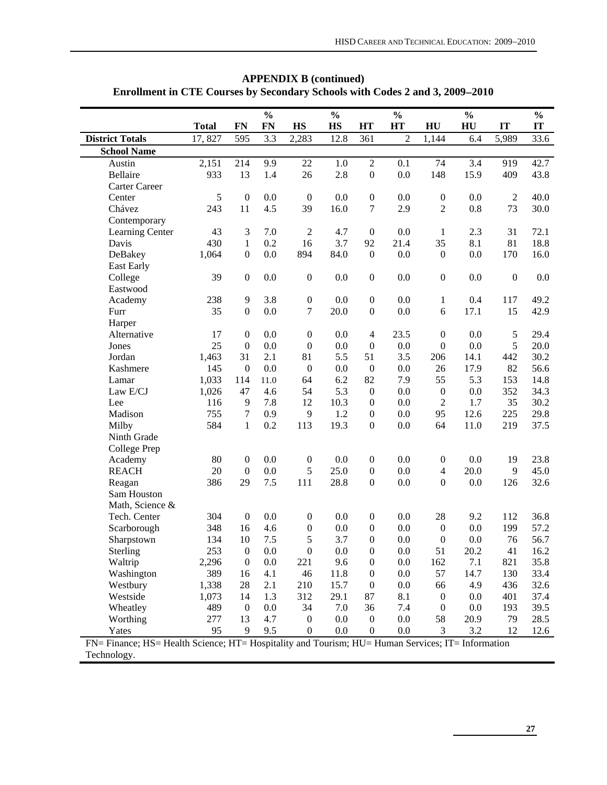|                                                                                                   |              |                  | $\frac{0}{0}$ |                  | $\frac{0}{0}$ |                  | $\frac{0}{0}$  |                  | $\frac{0}{0}$ |                  | $\frac{0}{0}$ |
|---------------------------------------------------------------------------------------------------|--------------|------------------|---------------|------------------|---------------|------------------|----------------|------------------|---------------|------------------|---------------|
|                                                                                                   | <b>Total</b> | <b>FN</b>        | FN            | <b>HS</b>        | <b>HS</b>     | <b>HT</b>        | <b>HT</b>      | HU               | HU            | IT               | IT            |
| <b>District Totals</b>                                                                            | 17,827       | 595              | 3.3           | 2,283            | 12.8          | 361              | $\overline{2}$ | 1,144            | 6.4           | 5,989            | 33.6          |
| <b>School Name</b>                                                                                |              |                  |               |                  |               |                  |                |                  |               |                  |               |
| Austin                                                                                            | 2,151        | 214              | 9.9           | 22               | 1.0           | $\overline{2}$   | 0.1            | 74               | 3.4           | 919              | 42.7          |
| Bellaire                                                                                          | 933          | 13               | 1.4           | 26               | 2.8           | $\boldsymbol{0}$ | 0.0            | 148              | 15.9          | 409              | 43.8          |
| Carter Career                                                                                     |              |                  |               |                  |               |                  |                |                  |               |                  |               |
| Center                                                                                            | 5            | $\boldsymbol{0}$ | 0.0           | $\boldsymbol{0}$ | 0.0           | $\boldsymbol{0}$ | 0.0            | $\boldsymbol{0}$ | 0.0           | $\overline{2}$   | 40.0          |
| Chávez                                                                                            | 243          | 11               | 4.5           | 39               | 16.0          | 7                | 2.9            | $\overline{2}$   | $0.8\,$       | 73               | 30.0          |
| Contemporary                                                                                      |              |                  |               |                  |               |                  |                |                  |               |                  |               |
| Learning Center                                                                                   | 43           | 3                | 7.0           | $\overline{2}$   | 4.7           | $\boldsymbol{0}$ | 0.0            | $\mathbf{1}$     | 2.3           | 31               | 72.1          |
| Davis                                                                                             | 430          | $\mathbf{1}$     | 0.2           | 16               | 3.7           | 92               | 21.4           | 35               | 8.1           | 81               | 18.8          |
| DeBakey                                                                                           | 1,064        | $\boldsymbol{0}$ | 0.0           | 894              | 84.0          | $\boldsymbol{0}$ | 0.0            | $\mathbf{0}$     | 0.0           | 170              | 16.0          |
| East Early                                                                                        |              |                  |               |                  |               |                  |                |                  |               |                  |               |
| College                                                                                           | 39           | $\boldsymbol{0}$ | 0.0           | $\boldsymbol{0}$ | 0.0           | $\boldsymbol{0}$ | 0.0            | $\boldsymbol{0}$ | 0.0           | $\boldsymbol{0}$ | 0.0           |
| Eastwood                                                                                          |              |                  |               |                  |               |                  |                |                  |               |                  |               |
| Academy                                                                                           | 238          | 9                | 3.8           | $\boldsymbol{0}$ | 0.0           | $\boldsymbol{0}$ | 0.0            | $\mathbf{1}$     | 0.4           | 117              | 49.2          |
| Furr                                                                                              | 35           | $\boldsymbol{0}$ | 0.0           | $\tau$           | 20.0          | $\boldsymbol{0}$ | 0.0            | 6                | 17.1          | 15               | 42.9          |
| Harper                                                                                            |              |                  |               |                  |               |                  |                |                  |               |                  |               |
| Alternative                                                                                       | 17           | $\boldsymbol{0}$ | 0.0           | $\boldsymbol{0}$ | 0.0           | $\overline{4}$   | 23.5           | $\boldsymbol{0}$ | 0.0           | 5                | 29.4          |
| Jones                                                                                             | 25           | $\boldsymbol{0}$ | 0.0           | $\boldsymbol{0}$ | 0.0           | $\boldsymbol{0}$ | 0.0            | $\boldsymbol{0}$ | $0.0\,$       | 5                | 20.0          |
| Jordan                                                                                            | 1,463        | 31               | 2.1           | 81               | 5.5           | 51               | 3.5            | 206              | 14.1          | 442              | 30.2          |
| Kashmere                                                                                          | 145          | $\boldsymbol{0}$ | 0.0           | $\boldsymbol{0}$ | 0.0           | $\boldsymbol{0}$ | 0.0            | 26               | 17.9          | 82               | 56.6          |
| Lamar                                                                                             | 1,033        | 114              | 11.0          | 64               | 6.2           | 82               | 7.9            | 55               | 5.3           | 153              | 14.8          |
| Law E/CJ                                                                                          | 1,026        | 47               | 4.6           | 54               | 5.3           | $\boldsymbol{0}$ | 0.0            | $\boldsymbol{0}$ | 0.0           | 352              | 34.3          |
| Lee                                                                                               | 116          | 9                | 7.8           | 12               | 10.3          | $\boldsymbol{0}$ | 0.0            | $\overline{c}$   | 1.7           | 35               | 30.2          |
| Madison                                                                                           | 755          | $\boldsymbol{7}$ | 0.9           | 9                | 1.2           | $\boldsymbol{0}$ | 0.0            | 95               | 12.6          | 225              | 29.8          |
| Milby                                                                                             | 584          | $\mathbf{1}$     | 0.2           | 113              | 19.3          | $\boldsymbol{0}$ | 0.0            | 64               | 11.0          | 219              | 37.5          |
| Ninth Grade                                                                                       |              |                  |               |                  |               |                  |                |                  |               |                  |               |
| College Prep                                                                                      |              |                  |               |                  |               |                  |                |                  |               |                  |               |
| Academy                                                                                           | 80           | $\boldsymbol{0}$ | 0.0           | $\boldsymbol{0}$ | 0.0           | $\boldsymbol{0}$ | 0.0            | $\boldsymbol{0}$ | 0.0           | 19               | 23.8          |
| <b>REACH</b>                                                                                      | 20           | $\boldsymbol{0}$ | 0.0           | 5                | 25.0          | $\boldsymbol{0}$ | 0.0            | $\overline{4}$   | 20.0          | 9                | 45.0          |
| Reagan                                                                                            | 386          | 29               | 7.5           | 111              | 28.8          | $\boldsymbol{0}$ | 0.0            | $\boldsymbol{0}$ | $0.0\,$       | 126              | 32.6          |
| Sam Houston                                                                                       |              |                  |               |                  |               |                  |                |                  |               |                  |               |
| Math, Science &                                                                                   |              |                  |               |                  |               |                  |                |                  |               |                  |               |
| Tech. Center                                                                                      | 304          | $\boldsymbol{0}$ | 0.0           | $\boldsymbol{0}$ | 0.0           | $\boldsymbol{0}$ | 0.0            | 28               | 9.2           | 112              | 36.8          |
| Scarborough                                                                                       | 348          | 16               | 4.6           | $\boldsymbol{0}$ | 0.0           | $\boldsymbol{0}$ | 0.0            | $\boldsymbol{0}$ | 0.0           | 199              | 57.2          |
| Sharpstown                                                                                        | 134          | 10               | 7.5           | 5                | 3.7           | $\boldsymbol{0}$ | 0.0            | $\boldsymbol{0}$ | 0.0           | 76               | 56.7          |
| Sterling                                                                                          | 253          | $\overline{0}$   | 0.0           | $\boldsymbol{0}$ | $0.0\,$       | $\boldsymbol{0}$ | 0.0            | 51               | 20.2          | 41               | 16.2          |
| Waltrip                                                                                           | 2,296        | $\boldsymbol{0}$ | 0.0           | 221              | 9.6           | $\boldsymbol{0}$ | 0.0            | 162              | 7.1           | 821              | 35.8          |
| Washington                                                                                        | 389          | 16               | 4.1           | 46               | 11.8          | $\boldsymbol{0}$ | 0.0            | 57               | 14.7          | 130              | 33.4          |
| Westbury                                                                                          | 1,338        | 28               | 2.1           | 210              | 15.7          | $\boldsymbol{0}$ | 0.0            | 66               | 4.9           | 436              | 32.6          |
| Westside                                                                                          | 1,073        | 14               | 1.3           | 312              | 29.1          | 87               | 8.1            | $\boldsymbol{0}$ | 0.0           | 401              | 37.4          |
| Wheatley                                                                                          | 489          | $\boldsymbol{0}$ | 0.0           | 34               | 7.0           | 36               | 7.4            | $\boldsymbol{0}$ | 0.0           | 193              | 39.5          |
| Worthing                                                                                          | 277          | 13               | 4.7           | $\boldsymbol{0}$ | 0.0           | $\boldsymbol{0}$ | 0.0            | 58               | 20.9          | 79               | 28.5          |
| Yates                                                                                             | 95           | 9                | 9.5           | $\boldsymbol{0}$ | 0.0           | $\boldsymbol{0}$ | 0.0            | 3                | 3.2           | 12               | 12.6          |
| FN= Finance; HS= Health Science; HT= Hospitality and Tourism; HU= Human Services; IT= Information |              |                  |               |                  |               |                  |                |                  |               |                  |               |
| Technology.                                                                                       |              |                  |               |                  |               |                  |                |                  |               |                  |               |

**APPENDIX B (continued) Enrollment in CTE Courses by Secondary Schools with Codes 2 and 3, 2009**−**2010**